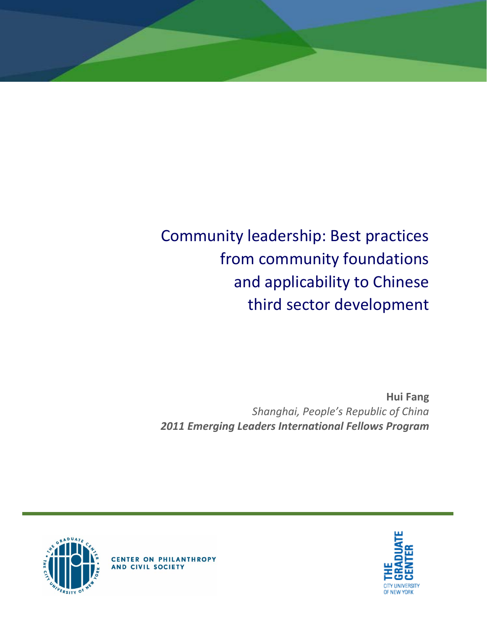# Community leadership: Best practices from community foundations and applicability to Chinese third sector development

**Hui Fang** *Shanghai, People's Republic of China 2011 Emerging Leaders International Fellows Program*





**CENTER ON PHILANTHROPY** AND CIVIL SOCIETY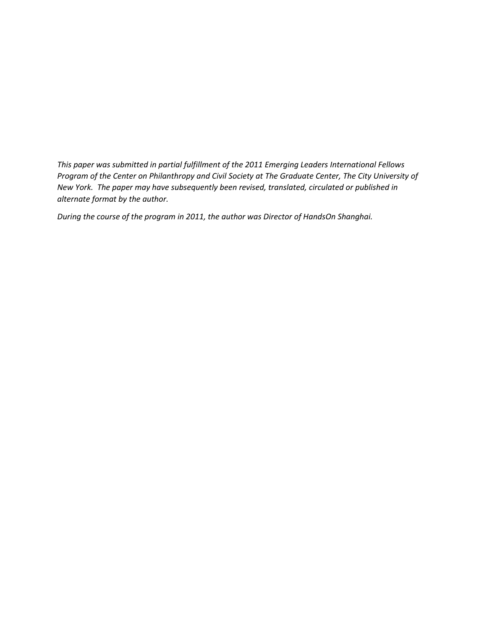*This paper was submitted in partial fulfillment of the 2011 Emerging Leaders International Fellows Program of the Center on Philanthropy and Civil Society at The Graduate Center, The City University of New York. The paper may have subsequently been revised, translated, circulated or published in alternate format by the author.*

*During the course of the program in 2011, the author was Director of HandsOn Shanghai.*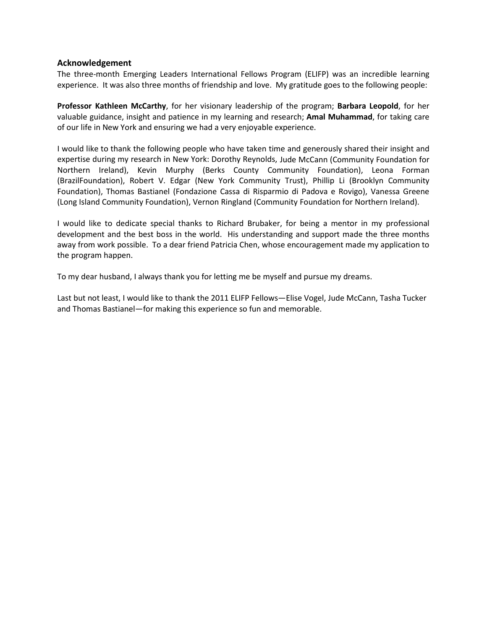#### **Acknowledgement**

The three-month Emerging Leaders International Fellows Program (ELIFP) was an incredible learning experience. It was also three months of friendship and love. My gratitude goes to the following people:

**Professor Kathleen McCarthy**, for her visionary leadership of the program; **Barbara Leopold**, for her valuable guidance, insight and patience in my learning and research; **Amal Muhammad**, for taking care of our life in New York and ensuring we had a very enjoyable experience.

I would like to thank the following people who have taken time and generously shared their insight and expertise during my research in New York: Dorothy Reynolds, Jude McCann (Community Foundation for Northern Ireland), Kevin Murphy (Berks County Community Foundation), Leona Forman (BrazilFoundation), Robert V. Edgar (New York Community Trust), Phillip Li (Brooklyn Community Foundation), Thomas Bastianel (Fondazione Cassa di Risparmio di Padova e Rovigo), Vanessa Greene (Long Island Community Foundation), Vernon Ringland (Community Foundation for Northern Ireland).

I would like to dedicate special thanks to Richard Brubaker, for being a mentor in my professional development and the best boss in the world. His understanding and support made the three months away from work possible. To a dear friend Patricia Chen, whose encouragement made my application to the program happen.

To my dear husband, I always thank you for letting me be myself and pursue my dreams.

Last but not least, I would like to thank the 2011 ELIFP Fellows—Elise Vogel, Jude McCann, Tasha Tucker and Thomas Bastianel—for making this experience so fun and memorable.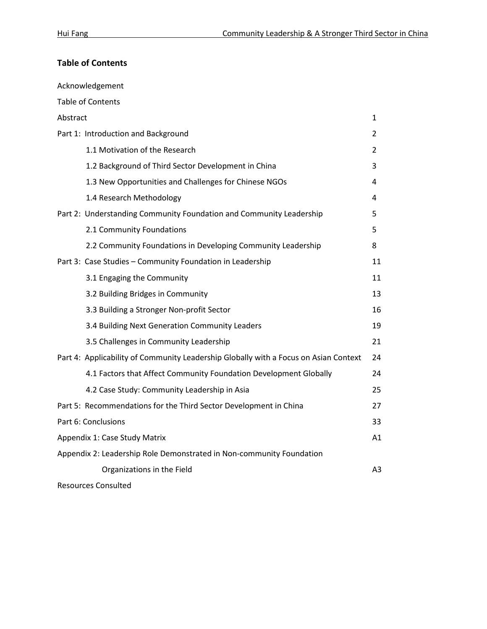# **Table of Contents**

| Acknowledgement                                                                      |    |
|--------------------------------------------------------------------------------------|----|
| <b>Table of Contents</b>                                                             |    |
| Abstract                                                                             | 1  |
| Part 1: Introduction and Background                                                  | 2  |
| 1.1 Motivation of the Research                                                       | 2  |
| 1.2 Background of Third Sector Development in China                                  | 3  |
| 1.3 New Opportunities and Challenges for Chinese NGOs                                | 4  |
| 1.4 Research Methodology                                                             | 4  |
| Part 2: Understanding Community Foundation and Community Leadership                  | 5  |
| 2.1 Community Foundations                                                            | 5. |
| 2.2 Community Foundations in Developing Community Leadership                         | 8  |
| Part 3: Case Studies - Community Foundation in Leadership                            | 11 |
| 3.1 Engaging the Community                                                           | 11 |
| 3.2 Building Bridges in Community                                                    | 13 |
| 3.3 Building a Stronger Non-profit Sector                                            | 16 |
| 3.4 Building Next Generation Community Leaders                                       | 19 |
| 3.5 Challenges in Community Leadership                                               | 21 |
| Part 4: Applicability of Community Leadership Globally with a Focus on Asian Context | 24 |
| 4.1 Factors that Affect Community Foundation Development Globally                    | 24 |
| 4.2 Case Study: Community Leadership in Asia                                         | 25 |
| Part 5: Recommendations for the Third Sector Development in China                    | 27 |
| Part 6: Conclusions                                                                  | 33 |
| Appendix 1: Case Study Matrix                                                        | A1 |
| Appendix 2: Leadership Role Demonstrated in Non-community Foundation                 |    |
| Organizations in the Field                                                           | A3 |
| <b>Resources Consulted</b>                                                           |    |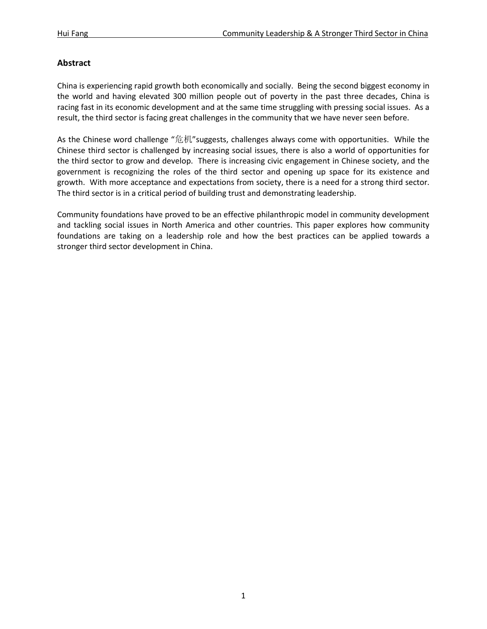# **Abstract**

China is experiencing rapid growth both economically and socially. Being the second biggest economy in the world and having elevated 300 million people out of poverty in the past three decades, China is racing fast in its economic development and at the same time struggling with pressing social issues. As a result, the third sector is facing great challenges in the community that we have never seen before.

As the Chinese word challenge "危机"suggests, challenges always come with opportunities. While the Chinese third sector is challenged by increasing social issues, there is also a world of opportunities for the third sector to grow and develop. There is increasing civic engagement in Chinese society, and the government is recognizing the roles of the third sector and opening up space for its existence and growth. With more acceptance and expectations from society, there is a need for a strong third sector. The third sector is in a critical period of building trust and demonstrating leadership.

Community foundations have proved to be an effective philanthropic model in community development and tackling social issues in North America and other countries. This paper explores how community foundations are taking on a leadership role and how the best practices can be applied towards a stronger third sector development in China.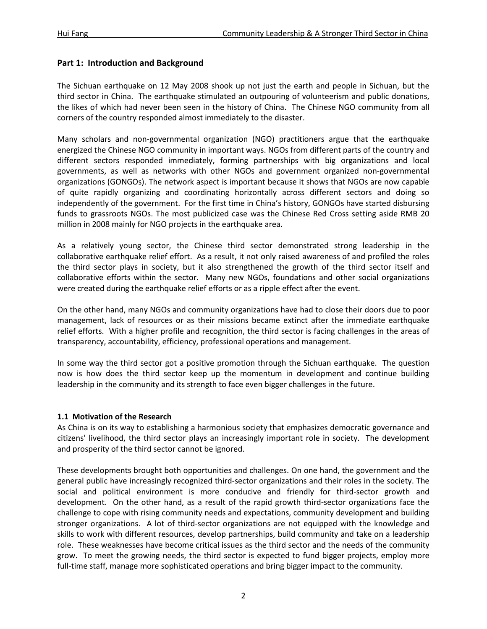# **Part 1: Introduction and Background**

The Sichuan earthquake on 12 May 2008 shook up not just the earth and people in Sichuan, but the third sector in China. The earthquake stimulated an outpouring of volunteerism and public donations, the likes of which had never been seen in the history of China. The Chinese NGO community from all corners of the country responded almost immediately to the disaster.

Many scholars and non-governmental organization (NGO) practitioners argue that the earthquake energized the Chinese NGO community in important ways. NGOs from different parts of the country and different sectors responded immediately, forming partnerships with big organizations and local governments, as well as networks with other NGOs and government organized non-governmental organizations (GONGOs). The network aspect is important because it shows that NGOs are now capable of quite rapidly organizing and coordinating horizontally across different sectors and doing so independently of the government. For the first time in China's history, GONGOs have started disbursing funds to grassroots NGOs. The most publicized case was the Chinese Red Cross setting aside RMB 20 million in 2008 mainly for NGO projects in the earthquake area.

As a relatively young sector, the Chinese third sector demonstrated strong leadership in the collaborative earthquake relief effort. As a result, it not only raised awareness of and profiled the roles the third sector plays in society, but it also strengthened the growth of the third sector itself and collaborative efforts within the sector. Many new NGOs, foundations and other social organizations were created during the earthquake relief efforts or as a ripple effect after the event.

On the other hand, many NGOs and community organizations have had to close their doors due to poor management, lack of resources or as their missions became extinct after the immediate earthquake relief efforts. With a higher profile and recognition, the third sector is facing challenges in the areas of transparency, accountability, efficiency, professional operations and management.

In some way the third sector got a positive promotion through the Sichuan earthquake. The question now is how does the third sector keep up the momentum in development and continue building leadership in the community and its strength to face even bigger challenges in the future.

# **1.1 Motivation of the Research**

As China is on its way to establishing a harmonious society that emphasizes democratic governance and citizens' livelihood, the third sector plays an increasingly important role in society. The development and prosperity of the third sector cannot be ignored.

These developments brought both opportunities and challenges. On one hand, the government and the general public have increasingly recognized third-sector organizations and their roles in the society. The social and political environment is more conducive and friendly for third-sector growth and development. On the other hand, as a result of the rapid growth third-sector organizations face the challenge to cope with rising community needs and expectations, community development and building stronger organizations. A lot of third-sector organizations are not equipped with the knowledge and skills to work with different resources, develop partnerships, build community and take on a leadership role. These weaknesses have become critical issues as the third sector and the needs of the community grow. To meet the growing needs, the third sector is expected to fund bigger projects, employ more full-time staff, manage more sophisticated operations and bring bigger impact to the community.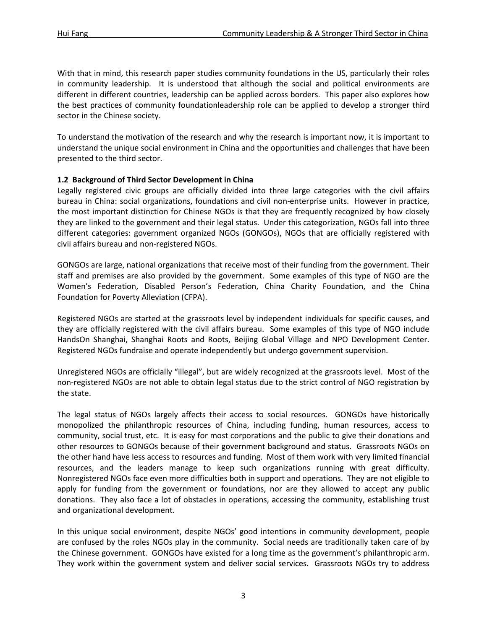With that in mind, this research paper studies community foundations in the US, particularly their roles in community leadership. It is understood that although the social and political environments are different in different countries, leadership can be applied across borders. This paper also explores how the best practices of community foundationleadership role can be applied to develop a stronger third sector in the Chinese society.

To understand the motivation of the research and why the research is important now, it is important to understand the unique social environment in China and the opportunities and challenges that have been presented to the third sector.

# **1.2 Background of Third Sector Development in China**

Legally registered civic groups are officially divided into three large categories with the civil affairs bureau in China: social organizations, foundations and civil non-enterprise units. However in practice, the most important distinction for Chinese NGOs is that they are frequently recognized by how closely they are linked to the government and their legal status. Under this categorization, NGOs fall into three different categories: government organized NGOs (GONGOs), NGOs that are officially registered with civil affairs bureau and non-registered NGOs.

GONGOs are large, national organizations that receive most of their funding from the government. Their staff and premises are also provided by the government. Some examples of this type of NGO are the Women's Federation, Disabled Person's Federation, China Charity Foundation, and the China Foundation for Poverty Alleviation (CFPA).

Registered NGOs are started at the grassroots level by independent individuals for specific causes, and they are officially registered with the civil affairs bureau. Some examples of this type of NGO include HandsOn Shanghai, Shanghai Roots and Roots, Beijing Global Village and NPO Development Center. Registered NGOs fundraise and operate independently but undergo government supervision.

Unregistered NGOs are officially "illegal", but are widely recognized at the grassroots level. Most of the non-registered NGOs are not able to obtain legal status due to the strict control of NGO registration by the state.

The legal status of NGOs largely affects their access to social resources. GONGOs have historically monopolized the philanthropic resources of China, including funding, human resources, access to community, social trust, etc. It is easy for most corporations and the public to give their donations and other resources to GONGOs because of their government background and status. Grassroots NGOs on the other hand have less access to resources and funding. Most of them work with very limited financial resources, and the leaders manage to keep such organizations running with great difficulty. Nonregistered NGOs face even more difficulties both in support and operations. They are not eligible to apply for funding from the government or foundations, nor are they allowed to accept any public donations. They also face a lot of obstacles in operations, accessing the community, establishing trust and organizational development.

In this unique social environment, despite NGOs' good intentions in community development, people are confused by the roles NGOs play in the community. Social needs are traditionally taken care of by the Chinese government. GONGOs have existed for a long time as the government's philanthropic arm. They work within the government system and deliver social services. Grassroots NGOs try to address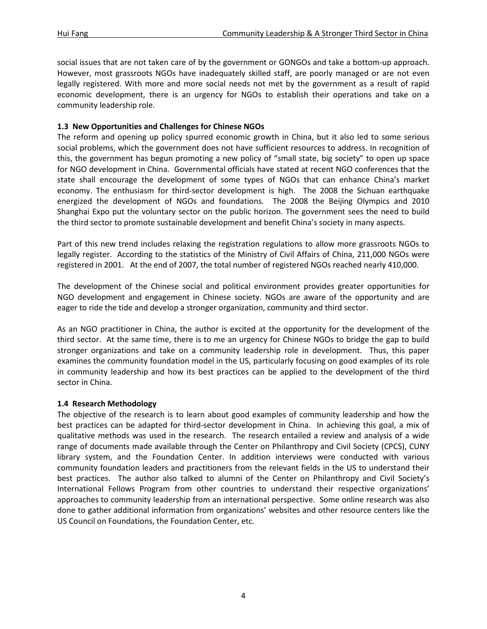social issues that are not taken care of by the government or GONGOs and take a bottom-up approach. However, most grassroots NGOs have inadequately skilled staff, are poorly managed or are not even legally registered. With more and more social needs not met by the government as a result of rapid economic development, there is an urgency for NGOs to establish their operations and take on a community leadership role.

# **1.3 New Opportunities and Challenges for Chinese NGOs**

The reform and opening up policy spurred economic growth in China, but it also led to some serious social problems, which the government does not have sufficient resources to address. In recognition of this, the government has begun promoting a new policy of "small state, big society" to open up space for NGO development in China. Governmental officials have stated at recent NGO conferences that the state shall encourage the development of some types of NGOs that can enhance China's market economy. The enthusiasm for third-sector development is high. The 2008 the Sichuan earthquake energized the development of NGOs and foundations. The 2008 the Beijing Olympics and 2010 Shanghai Expo put the voluntary sector on the public horizon. The government sees the need to build the third sector to promote sustainable development and benefit China's society in many aspects.

Part of this new trend includes relaxing the registration regulations to allow more grassroots NGOs to legally register. According to the statistics of the Ministry of Civil Affairs of China, 211,000 NGOs were registered in 2001. At the end of 2007, the total number of registered NGOs reached nearly 410,000.

The development of the Chinese social and political environment provides greater opportunities for NGO development and engagement in Chinese society. NGOs are aware of the opportunity and are eager to ride the tide and develop a stronger organization, community and third sector.

As an NGO practitioner in China, the author is excited at the opportunity for the development of the third sector. At the same time, there is to me an urgency for Chinese NGOs to bridge the gap to build stronger organizations and take on a community leadership role in development. Thus, this paper examines the community foundation model in the US, particularly focusing on good examples of its role in community leadership and how its best practices can be applied to the development of the third sector in China.

# **1.4 Research Methodology**

The objective of the research is to learn about good examples of community leadership and how the best practices can be adapted for third-sector development in China. In achieving this goal, a mix of qualitative methods was used in the research. The research entailed a review and analysis of a wide range of documents made available through the Center on Philanthropy and Civil Society (CPCS), CUNY library system, and the Foundation Center. In addition interviews were conducted with various community foundation leaders and practitioners from the relevant fields in the US to understand their best practices. The author also talked to alumni of the Center on Philanthropy and Civil Society's International Fellows Program from other countries to understand their respective organizations' approaches to community leadership from an international perspective. Some online research was also done to gather additional information from organizations' websites and other resource centers like the US Council on Foundations, the Foundation Center, etc.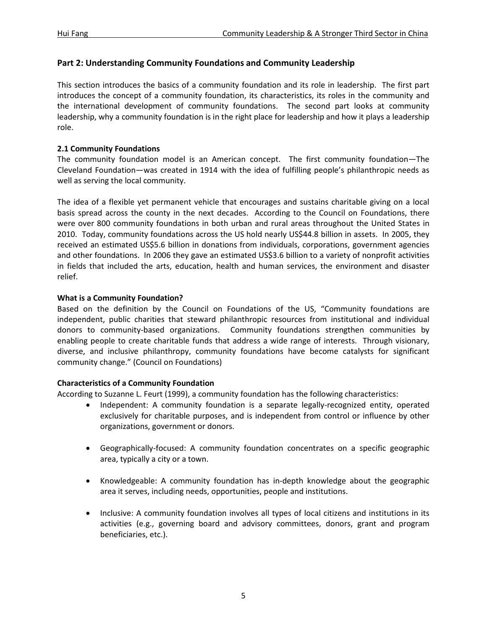# **Part 2: Understanding Community Foundations and Community Leadership**

This section introduces the basics of a community foundation and its role in leadership. The first part introduces the concept of a community foundation, its characteristics, its roles in the community and the international development of community foundations. The second part looks at community leadership, why a community foundation is in the right place for leadership and how it plays a leadership role.

# **2.1 Community Foundations**

The community foundation model is an American concept. The first community foundation—The Cleveland Foundation—was created in 1914 with the idea of fulfilling people's philanthropic needs as well as serving the local community.

The idea of a flexible yet permanent vehicle that encourages and sustains charitable giving on a local basis spread across the county in the next decades. According to the Council on Foundations, there were over 800 community foundations in both urban and rural areas throughout the United States in 2010. Today, community foundations across the US hold nearly US\$44.8 billion in assets. In 2005, they received an estimated US\$5.6 billion in donations from individuals, corporations, government agencies and other foundations. In 2006 they gave an estimated US\$3.6 billion to a variety of nonprofit activities in fields that included the arts, education, health and human services, the environment and disaster relief.

# **What is a Community Foundation?**

Based on the definition by the Council on Foundations of the US, "Community foundations are independent, public charities that steward philanthropic resources from institutional and individual donors to community-based organizations. Community foundations strengthen communities by enabling people to create charitable funds that address a wide range of interests. Through visionary, diverse, and inclusive philanthropy, community foundations have become catalysts for significant community change." (Council on Foundations)

# **Characteristics of a Community Foundation**

According to Suzanne L. Feurt (1999), a community foundation has the following characteristics:

- Independent: A community foundation is a separate legally-recognized entity, operated exclusively for charitable purposes, and is independent from control or influence by other organizations, government or donors.
- Geographically-focused: A community foundation concentrates on a specific geographic area, typically a city or a town.
- Knowledgeable: A community foundation has in-depth knowledge about the geographic area it serves, including needs, opportunities, people and institutions.
- Inclusive: A community foundation involves all types of local citizens and institutions in its activities (e.g., governing board and advisory committees, donors, grant and program beneficiaries, etc.).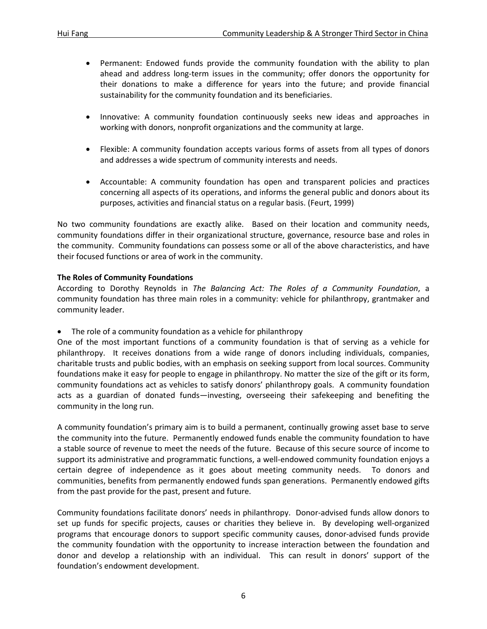- Permanent: Endowed funds provide the community foundation with the ability to plan ahead and address long-term issues in the community; offer donors the opportunity for their donations to make a difference for years into the future; and provide financial sustainability for the community foundation and its beneficiaries.
- Innovative: A community foundation continuously seeks new ideas and approaches in working with donors, nonprofit organizations and the community at large.
- Flexible: A community foundation accepts various forms of assets from all types of donors and addresses a wide spectrum of community interests and needs.
- Accountable: A community foundation has open and transparent policies and practices concerning all aspects of its operations, and informs the general public and donors about its purposes, activities and financial status on a regular basis. (Feurt, 1999)

No two community foundations are exactly alike. Based on their location and community needs, community foundations differ in their organizational structure, governance, resource base and roles in the community. Community foundations can possess some or all of the above characteristics, and have their focused functions or area of work in the community.

# **The Roles of Community Foundations**

According to Dorothy Reynolds in *The Balancing Act: The Roles of a Community Foundation*, a community foundation has three main roles in a community: vehicle for philanthropy, grantmaker and community leader.

• The role of a community foundation as a vehicle for philanthropy

One of the most important functions of a community foundation is that of serving as a vehicle for philanthropy. It receives donations from a wide range of donors including individuals, companies, charitable trusts and public bodies, with an emphasis on seeking support from local sources. Community foundations make it easy for people to engage in philanthropy. No matter the size of the gift or its form, community foundations act as vehicles to satisfy donors' philanthropy goals. A community foundation acts as a guardian of donated funds—investing, overseeing their safekeeping and benefiting the community in the long run.

A community foundation's primary aim is to build a permanent, continually growing asset base to serve the community into the future. Permanently endowed funds enable the community foundation to have a stable source of revenue to meet the needs of the future. Because of this secure source of income to support its administrative and programmatic functions, a well-endowed community foundation enjoys a certain degree of independence as it goes about meeting community needs. To donors and communities, benefits from permanently endowed funds span generations. Permanently endowed gifts from the past provide for the past, present and future.

Community foundations facilitate donors' needs in philanthropy. Donor-advised funds allow donors to set up funds for specific projects, causes or charities they believe in. By developing well-organized programs that encourage donors to support specific community causes, donor-advised funds provide the community foundation with the opportunity to increase interaction between the foundation and donor and develop a relationship with an individual. This can result in donors' support of the foundation's endowment development.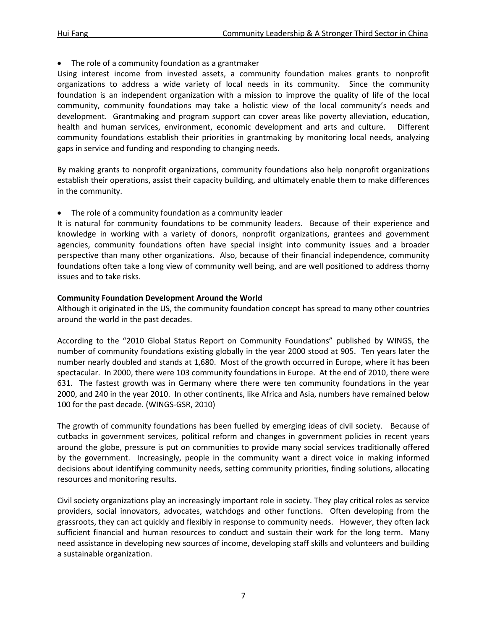The role of a community foundation as a grantmaker

Using interest income from invested assets, a community foundation makes grants to nonprofit organizations to address a wide variety of local needs in its community. Since the community foundation is an independent organization with a mission to improve the quality of life of the local community, community foundations may take a holistic view of the local community's needs and development. Grantmaking and program support can cover areas like poverty alleviation, education, health and human services, environment, economic development and arts and culture. Different community foundations establish their priorities in grantmaking by monitoring local needs, analyzing gaps in service and funding and responding to changing needs.

By making grants to nonprofit organizations, community foundations also help nonprofit organizations establish their operations, assist their capacity building, and ultimately enable them to make differences in the community.

• The role of a community foundation as a community leader

It is natural for community foundations to be community leaders. Because of their experience and knowledge in working with a variety of donors, nonprofit organizations, grantees and government agencies, community foundations often have special insight into community issues and a broader perspective than many other organizations. Also, because of their financial independence, community foundations often take a long view of community well being, and are well positioned to address thorny issues and to take risks.

# **Community Foundation Development Around the World**

Although it originated in the US, the community foundation concept has spread to many other countries around the world in the past decades.

According to the "2010 Global Status Report on Community Foundations" published by WINGS, the number of community foundations existing globally in the year 2000 stood at 905. Ten years later the number nearly doubled and stands at 1,680. Most of the growth occurred in Europe, where it has been spectacular. In 2000, there were 103 community foundations in Europe. At the end of 2010, there were 631. The fastest growth was in Germany where there were ten community foundations in the year 2000, and 240 in the year 2010. In other continents, like Africa and Asia, numbers have remained below 100 for the past decade. (WINGS-GSR, 2010)

The growth of community foundations has been fuelled by emerging ideas of civil society. Because of cutbacks in government services, political reform and changes in government policies in recent years around the globe, pressure is put on communities to provide many social services traditionally offered by the government. Increasingly, people in the community want a direct voice in making informed decisions about identifying community needs, setting community priorities, finding solutions, allocating resources and monitoring results.

Civil society organizations play an increasingly important role in society. They play critical roles as service providers, social innovators, advocates, watchdogs and other functions. Often developing from the grassroots, they can act quickly and flexibly in response to community needs. However, they often lack sufficient financial and human resources to conduct and sustain their work for the long term. Many need assistance in developing new sources of income, developing staff skills and volunteers and building a sustainable organization.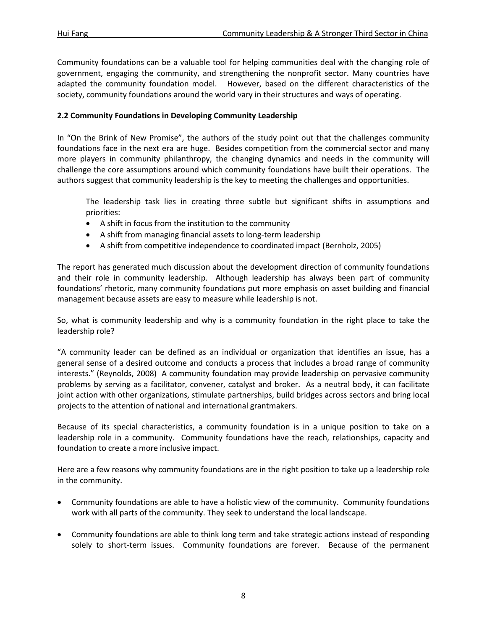Community foundations can be a valuable tool for helping communities deal with the changing role of government, engaging the community, and strengthening the nonprofit sector. Many countries have adapted the community foundation model. However, based on the different characteristics of the society, community foundations around the world vary in their structures and ways of operating.

# **2.2 Community Foundations in Developing Community Leadership**

In "On the Brink of New Promise", the authors of the study point out that the challenges community foundations face in the next era are huge. Besides competition from the commercial sector and many more players in community philanthropy, the changing dynamics and needs in the community will challenge the core assumptions around which community foundations have built their operations. The authors suggest that community leadership is the key to meeting the challenges and opportunities.

The leadership task lies in creating three subtle but significant shifts in assumptions and priorities:

- A shift in focus from the institution to the community
- A shift from managing financial assets to long-term leadership
- A shift from competitive independence to coordinated impact (Bernholz, 2005)

The report has generated much discussion about the development direction of community foundations and their role in community leadership. Although leadership has always been part of community foundations' rhetoric, many community foundations put more emphasis on asset building and financial management because assets are easy to measure while leadership is not.

So, what is community leadership and why is a community foundation in the right place to take the leadership role?

"A community leader can be defined as an individual or organization that identifies an issue, has a general sense of a desired outcome and conducts a process that includes a broad range of community interests." (Reynolds, 2008) A community foundation may provide leadership on pervasive community problems by serving as a facilitator, convener, catalyst and broker. As a neutral body, it can facilitate joint action with other organizations, stimulate partnerships, build bridges across sectors and bring local projects to the attention of national and international grantmakers.

Because of its special characteristics, a community foundation is in a unique position to take on a leadership role in a community. Community foundations have the reach, relationships, capacity and foundation to create a more inclusive impact.

Here are a few reasons why community foundations are in the right position to take up a leadership role in the community.

- Community foundations are able to have a holistic view of the community. Community foundations work with all parts of the community. They seek to understand the local landscape.
- Community foundations are able to think long term and take strategic actions instead of responding solely to short-term issues. Community foundations are forever. Because of the permanent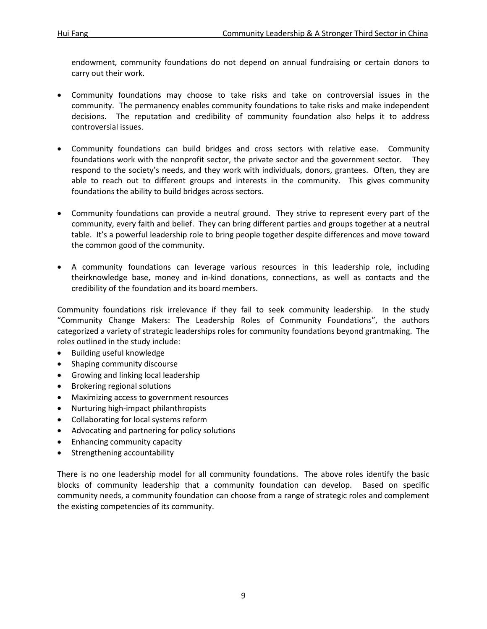endowment, community foundations do not depend on annual fundraising or certain donors to carry out their work.

- Community foundations may choose to take risks and take on controversial issues in the community. The permanency enables community foundations to take risks and make independent decisions. The reputation and credibility of community foundation also helps it to address controversial issues.
- Community foundations can build bridges and cross sectors with relative ease. Community foundations work with the nonprofit sector, the private sector and the government sector. They respond to the society's needs, and they work with individuals, donors, grantees. Often, they are able to reach out to different groups and interests in the community. This gives community foundations the ability to build bridges across sectors.
- Community foundations can provide a neutral ground. They strive to represent every part of the community, every faith and belief. They can bring different parties and groups together at a neutral table. It's a powerful leadership role to bring people together despite differences and move toward the common good of the community.
- A community foundations can leverage various resources in this leadership role, including theirknowledge base, money and in-kind donations, connections, as well as contacts and the credibility of the foundation and its board members.

Community foundations risk irrelevance if they fail to seek community leadership. In the study "Community Change Makers: The Leadership Roles of Community Foundations", the authors categorized a variety of strategic leaderships roles for community foundations beyond grantmaking. The roles outlined in the study include:

- Building useful knowledge
- Shaping community discourse
- Growing and linking local leadership
- Brokering regional solutions
- Maximizing access to government resources
- Nurturing high-impact philanthropists
- Collaborating for local systems reform
- Advocating and partnering for policy solutions
- Enhancing community capacity
- Strengthening accountability

There is no one leadership model for all community foundations. The above roles identify the basic blocks of community leadership that a community foundation can develop. Based on specific community needs, a community foundation can choose from a range of strategic roles and complement the existing competencies of its community.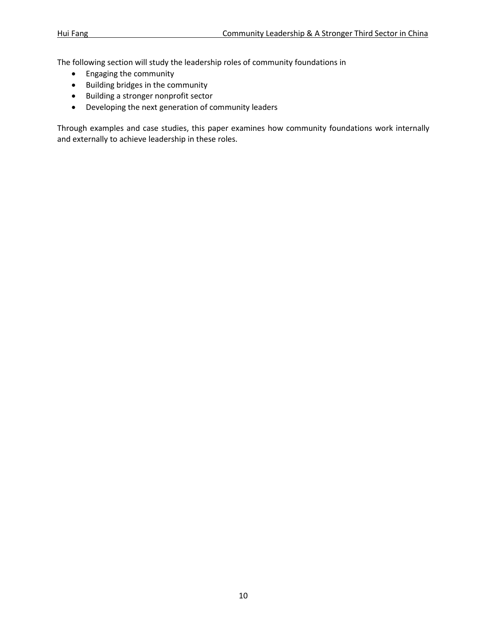The following section will study the leadership roles of community foundations in

- Engaging the community
- Building bridges in the community
- Building a stronger nonprofit sector
- Developing the next generation of community leaders

Through examples and case studies, this paper examines how community foundations work internally and externally to achieve leadership in these roles.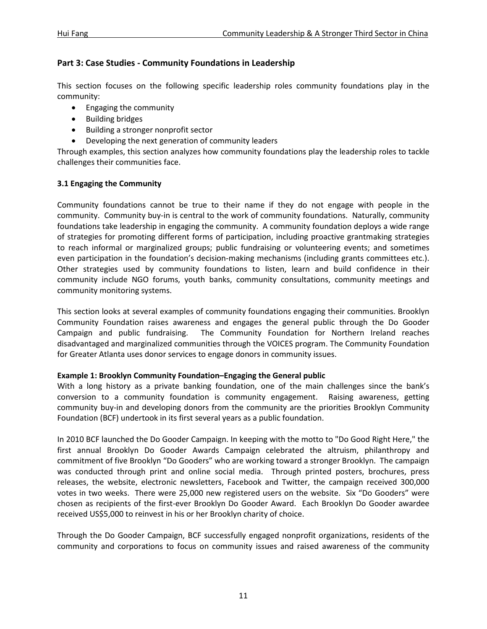# **Part 3: Case Studies - Community Foundations in Leadership**

This section focuses on the following specific leadership roles community foundations play in the community:

- Engaging the community
- Building bridges
- Building a stronger nonprofit sector
- Developing the next generation of community leaders

Through examples, this section analyzes how community foundations play the leadership roles to tackle challenges their communities face.

# **3.1 Engaging the Community**

Community foundations cannot be true to their name if they do not engage with people in the community. Community buy-in is central to the work of community foundations. Naturally, community foundations take leadership in engaging the community. A community foundation deploys a wide range of strategies for promoting different forms of participation, including proactive grantmaking strategies to reach informal or marginalized groups; public fundraising or volunteering events; and sometimes even participation in the foundation's decision-making mechanisms (including grants committees etc.). Other strategies used by community foundations to listen, learn and build confidence in their community include NGO forums, youth banks, community consultations, community meetings and community monitoring systems.

This section looks at several examples of community foundations engaging their communities. Brooklyn Community Foundation raises awareness and engages the general public through the Do Gooder Campaign and public fundraising. The Community Foundation for Northern Ireland reaches disadvantaged and marginalized communities through the VOICES program. The Community Foundation for Greater Atlanta uses donor services to engage donors in community issues.

# **Example 1: Brooklyn Community Foundation–Engaging the General public**

With a long history as a private banking foundation, one of the main challenges since the bank's conversion to a community foundation is community engagement. Raising awareness, getting community buy-in and developing donors from the community are the priorities Brooklyn Community Foundation (BCF) undertook in its first several years as a public foundation.

In 2010 BCF launched the Do Gooder Campaign. In keeping with the motto to "Do Good Right Here," the first annual Brooklyn Do Gooder Awards Campaign celebrated the altruism, philanthropy and commitment of five Brooklyn "Do Gooders" who are working toward a stronger Brooklyn. The campaign was conducted through print and online social media. Through printed posters, brochures, press releases, the website, electronic newsletters, Facebook and Twitter, the campaign received 300,000 votes in two weeks. There were 25,000 new registered users on the website. Six "Do Gooders" were chosen as recipients of the first-ever Brooklyn Do Gooder Award. Each Brooklyn Do Gooder awardee received US\$5,000 to reinvest in his or her Brooklyn charity of choice.

Through the Do Gooder Campaign, BCF successfully engaged nonprofit organizations, residents of the community and corporations to focus on community issues and raised awareness of the community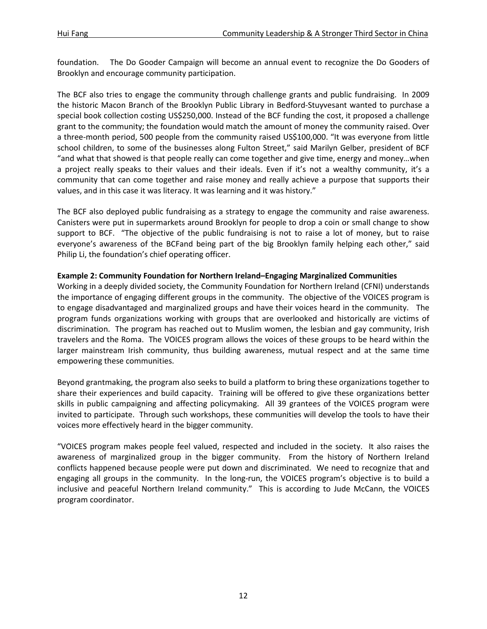foundation. The Do Gooder Campaign will become an annual event to recognize the Do Gooders of Brooklyn and encourage community participation.

The BCF also tries to engage the community through challenge grants and public fundraising. In 2009 the historic Macon Branch of the Brooklyn Public Library in Bedford-Stuyvesant wanted to purchase a special book collection costing US\$250,000. Instead of the BCF funding the cost, it proposed a challenge grant to the community; the foundation would match the amount of money the community raised. Over a three-month period, 500 people from the community raised US\$100,000. "It was everyone from little school children, to some of the businesses along Fulton Street," said Marilyn Gelber, president of BCF "and what that showed is that people really can come together and give time, energy and money…when a project really speaks to their values and their ideals. Even if it's not a wealthy community, it's a community that can come together and raise money and really achieve a purpose that supports their values, and in this case it was literacy. It was learning and it was history."

The BCF also deployed public fundraising as a strategy to engage the community and raise awareness. Canisters were put in supermarkets around Brooklyn for people to drop a coin or small change to show support to BCF. "The objective of the public fundraising is not to raise a lot of money, but to raise everyone's awareness of the BCFand being part of the big Brooklyn family helping each other," said Philip Li, the foundation's chief operating officer.

# **Example 2: Community Foundation for Northern Ireland–Engaging Marginalized Communities**

Working in a deeply divided society, the Community Foundation for Northern Ireland (CFNI) understands the importance of engaging different groups in the community. The objective of the VOICES program is to engage disadvantaged and marginalized groups and have their voices heard in the community. The program funds organizations working with groups that are overlooked and historically are victims of discrimination. The program has reached out to Muslim women, the lesbian and gay community, Irish travelers and the Roma. The VOICES program allows the voices of these groups to be heard within the larger mainstream Irish community, thus building awareness, mutual respect and at the same time empowering these communities.

Beyond grantmaking, the program also seeks to build a platform to bring these organizations together to share their experiences and build capacity. Training will be offered to give these organizations better skills in public campaigning and affecting policymaking. All 39 grantees of the VOICES program were invited to participate. Through such workshops, these communities will develop the tools to have their voices more effectively heard in the bigger community.

"VOICES program makes people feel valued, respected and included in the society. It also raises the awareness of marginalized group in the bigger community. From the history of Northern Ireland conflicts happened because people were put down and discriminated. We need to recognize that and engaging all groups in the community. In the long-run, the VOICES program's objective is to build a inclusive and peaceful Northern Ireland community." This is according to Jude McCann, the VOICES program coordinator.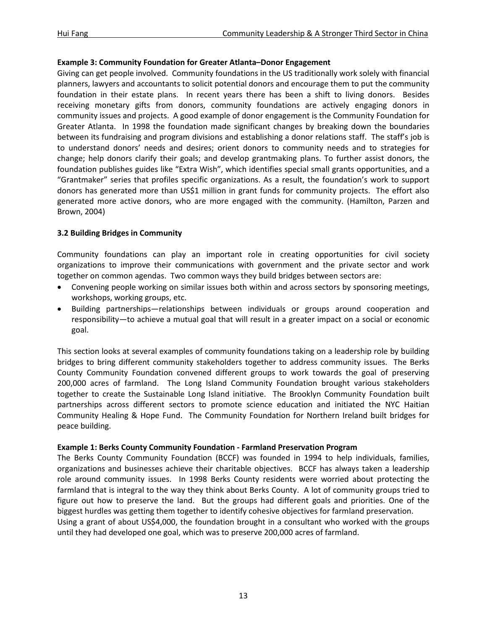# **Example 3: Community Foundation for Greater Atlanta–Donor Engagement**

Giving can get people involved. Community foundations in the US traditionally work solely with financial planners, lawyers and accountants to solicit potential donors and encourage them to put the community foundation in their estate plans. In recent years there has been a shift to living donors. Besides receiving monetary gifts from donors, community foundations are actively engaging donors in community issues and projects. A good example of donor engagement is the Community Foundation for Greater Atlanta. In 1998 the foundation made significant changes by breaking down the boundaries between its fundraising and program divisions and establishing a donor relations staff. The staff's job is to understand donors' needs and desires; orient donors to community needs and to strategies for change; help donors clarify their goals; and develop grantmaking plans. To further assist donors, the foundation publishes guides like "Extra Wish", which identifies special small grants opportunities, and a "Grantmaker" series that profiles specific organizations. As a result, the foundation's work to support donors has generated more than US\$1 million in grant funds for community projects. The effort also generated more active donors, who are more engaged with the community. (Hamilton, Parzen and Brown, 2004)

# **3.2 Building Bridges in Community**

Community foundations can play an important role in creating opportunities for civil society organizations to improve their communications with government and the private sector and work together on common agendas. Two common ways they build bridges between sectors are:

- Convening people working on similar issues both within and across sectors by sponsoring meetings, workshops, working groups, etc.
- Building partnerships—relationships between individuals or groups around cooperation and responsibility—to achieve a mutual goal that will result in a greater impact on a social or economic goal.

This section looks at several examples of community foundations taking on a leadership role by building bridges to bring different community stakeholders together to address community issues. The Berks County Community Foundation convened different groups to work towards the goal of preserving 200,000 acres of farmland. The Long Island Community Foundation brought various stakeholders together to create the Sustainable Long Island initiative. The Brooklyn Community Foundation built partnerships across different sectors to promote science education and initiated the NYC Haitian Community Healing & Hope Fund. The Community Foundation for Northern Ireland built bridges for peace building.

# **Example 1: Berks County Community Foundation - Farmland Preservation Program**

The Berks County Community Foundation (BCCF) was founded in 1994 to help individuals, families, organizations and businesses achieve their charitable objectives. BCCF has always taken a leadership role around community issues. In 1998 Berks County residents were worried about protecting the farmland that is integral to the way they think about Berks County. A lot of community groups tried to figure out how to preserve the land. But the groups had different goals and priorities. One of the biggest hurdles was getting them together to identify cohesive objectives for farmland preservation. Using a grant of about US\$4,000, the foundation brought in a consultant who worked with the groups

until they had developed one goal, which was to preserve 200,000 acres of farmland.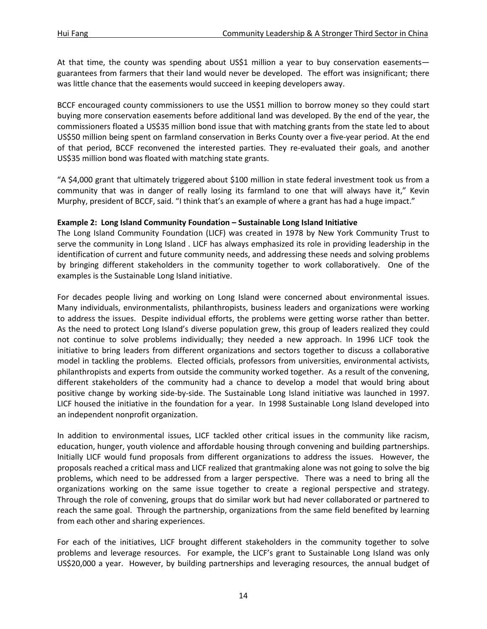At that time, the county was spending about US\$1 million a year to buy conservation easements guarantees from farmers that their land would never be developed. The effort was insignificant; there was little chance that the easements would succeed in keeping developers away.

BCCF encouraged county commissioners to use the US\$1 million to borrow money so they could start buying more conservation easements before additional land was developed. By the end of the year, the commissioners floated a US\$35 million bond issue that with matching grants from the state led to about US\$50 million being spent on farmland conservation in Berks County over a five-year period. At the end of that period, BCCF reconvened the interested parties. They re-evaluated their goals, and another US\$35 million bond was floated with matching state grants.

"A \$4,000 grant that ultimately triggered about \$100 million in state federal investment took us from a community that was in danger of really losing its farmland to one that will always have it," Kevin Murphy, president of BCCF, said. "I think that's an example of where a grant has had a huge impact."

# **Example 2: Long Island Community Foundation – Sustainable Long Island Initiative**

The Long Island Community Foundation (LICF) was created in 1978 by New York Community Trust to serve the community in Long Island . LICF has always emphasized its role in providing leadership in the identification of current and future community needs, and addressing these needs and solving problems by bringing different stakeholders in the community together to work collaboratively. One of the examples is the Sustainable Long Island initiative.

For decades people living and working on Long Island were concerned about environmental issues. Many individuals, environmentalists, philanthropists, business leaders and organizations were working to address the issues. Despite individual efforts, the problems were getting worse rather than better. As the need to protect Long Island's diverse population grew, this group of leaders realized they could not continue to solve problems individually; they needed a new approach. In 1996 LICF took the initiative to bring leaders from different organizations and sectors together to discuss a collaborative model in tackling the problems. Elected officials, professors from universities, environmental activists, philanthropists and experts from outside the community worked together. As a result of the convening, different stakeholders of the community had a chance to develop a model that would bring about positive change by working side-by-side. The Sustainable Long Island initiative was launched in 1997. LICF housed the initiative in the foundation for a year. In 1998 Sustainable Long Island developed into an independent nonprofit organization.

In addition to environmental issues, LICF tackled other critical issues in the community like racism, education, hunger, youth violence and affordable housing through convening and building partnerships. Initially LICF would fund proposals from different organizations to address the issues. However, the proposals reached a critical mass and LICF realized that grantmaking alone was not going to solve the big problems, which need to be addressed from a larger perspective. There was a need to bring all the organizations working on the same issue together to create a regional perspective and strategy. Through the role of convening, groups that do similar work but had never collaborated or partnered to reach the same goal. Through the partnership, organizations from the same field benefited by learning from each other and sharing experiences.

For each of the initiatives, LICF brought different stakeholders in the community together to solve problems and leverage resources. For example, the LICF's grant to Sustainable Long Island was only US\$20,000 a year. However, by building partnerships and leveraging resources, the annual budget of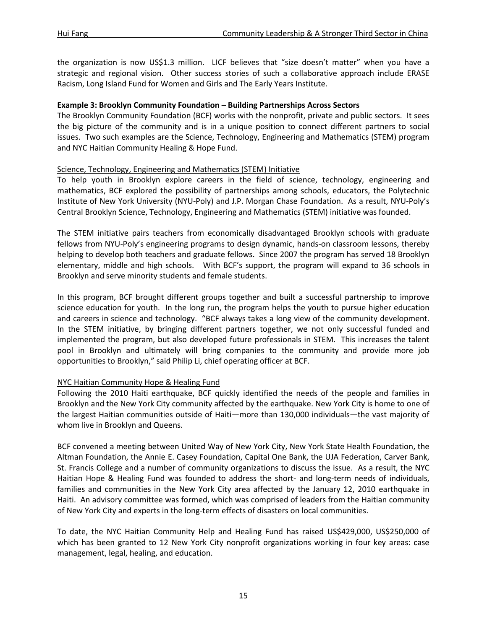the organization is now US\$1.3 million. LICF believes that "size doesn't matter" when you have a strategic and regional vision. Other success stories of such a collaborative approach include ERASE Racism, Long Island Fund for Women and Girls and The Early Years Institute.

#### **Example 3: Brooklyn Community Foundation – Building Partnerships Across Sectors**

The Brooklyn Community Foundation (BCF) works with the nonprofit, private and public sectors. It sees the big picture of the community and is in a unique position to connect different partners to social issues. Two such examples are the Science, Technology, Engineering and Mathematics (STEM) program and NYC Haitian Community Healing & Hope Fund.

# Science, Technology, Engineering and Mathematics (STEM) Initiative

To help youth in Brooklyn explore careers in the field of science, technology, engineering and mathematics, BCF explored the possibility of partnerships among schools, educators, the Polytechnic Institute of New York University (NYU-Poly) and J.P. Morgan Chase Foundation. As a result, NYU-Poly's Central Brooklyn Science, Technology, Engineering and Mathematics (STEM) initiative was founded.

The STEM initiative pairs teachers from economically disadvantaged Brooklyn schools with graduate fellows from NYU-Poly's engineering programs to design dynamic, hands-on classroom lessons, thereby helping to develop both teachers and graduate fellows. Since 2007 the program has served 18 Brooklyn elementary, middle and high schools. With BCF's support, the program will expand to 36 schools in Brooklyn and serve minority students and female students.

In this program, BCF brought different groups together and built a successful partnership to improve science education for youth. In the long run, the program helps the youth to pursue higher education and careers in science and technology. "BCF always takes a long view of the community development. In the STEM initiative, by bringing different partners together, we not only successful funded and implemented the program, but also developed future professionals in STEM. This increases the talent pool in Brooklyn and ultimately will bring companies to the community and provide more job opportunities to Brooklyn," said Philip Li, chief operating officer at BCF.

# NYC Haitian Community Hope & Healing Fund

Following the 2010 Haiti earthquake, BCF quickly identified the needs of the people and families in Brooklyn and the New York City community affected by the earthquake. New York City is home to one of the largest Haitian communities outside of Haiti—more than 130,000 individuals—the vast majority of whom live in Brooklyn and Queens.

BCF convened a meeting between United Way of New York City, New York State Health Foundation, the Altman Foundation, the Annie E. Casey Foundation, Capital One Bank, the UJA Federation, Carver Bank, St. Francis College and a number of community organizations to discuss the issue. As a result, the NYC Haitian Hope & Healing Fund was founded to address the short- and long-term needs of individuals, families and communities in the New York City area affected by the January 12, 2010 earthquake in Haiti. An advisory committee was formed, which was comprised of leaders from the Haitian community of New York City and experts in the long-term effects of disasters on local communities.

To date, the NYC Haitian Community Help and Healing Fund has raised US\$429,000, US\$250,000 of which has been granted to 12 New York City nonprofit organizations working in four key areas: case management, legal, healing, and education.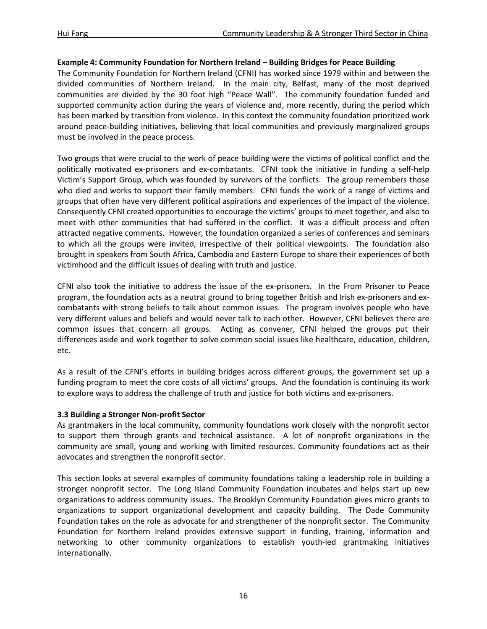## **Example 4: Community Foundation for Northern Ireland – Building Bridges for Peace Building**

The Community Foundation for Northern Ireland (CFNI) has worked since 1979 within and between the divided communities of Northern Ireland. In the main city, Belfast, many of the most deprived communities are divided by the 30 foot high "Peace Wall". The community foundation funded and supported community action during the years of violence and, more recently, during the period which has been marked by transition from violence. In this context the community foundation prioritized work around peace-building initiatives, believing that local communities and previously marginalized groups must be involved in the peace process.

Two groups that were crucial to the work of peace building were the victims of political conflict and the politically motivated ex-prisoners and ex-combatants. CFNI took the initiative in funding a self-help Victim's Support Group, which was founded by survivors of the conflicts. The group remembers those who died and works to support their family members. CFNI funds the work of a range of victims and groups that often have very different political aspirations and experiences of the impact of the violence. Consequently CFNI created opportunities to encourage the victims' groups to meet together, and also to meet with other communities that had suffered in the conflict. It was a difficult process and often attracted negative comments. However, the foundation organized a series of conferences and seminars to which all the groups were invited, irrespective of their political viewpoints. The foundation also brought in speakers from South Africa, Cambodia and Eastern Europe to share their experiences of both victimhood and the difficult issues of dealing with truth and justice.

CFNI also took the initiative to address the issue of the ex-prisoners. In the From Prisoner to Peace program, the foundation acts as a neutral ground to bring together British and Irish ex-prisoners and excombatants with strong beliefs to talk about common issues. The program involves people who have very different values and beliefs and would never talk to each other. However, CFNI believes there are common issues that concern all groups. Acting as convener, CFNI helped the groups put their differences aside and work together to solve common social issues like healthcare, education, children, etc.

As a result of the CFNI's efforts in building bridges across different groups, the government set up a funding program to meet the core costs of all victims' groups. And the foundation is continuing its work to explore ways to address the challenge of truth and justice for both victims and ex-prisoners.

# **3.3 Building a Stronger Non-profit Sector**

As grantmakers in the local community, community foundations work closely with the nonprofit sector to support them through grants and technical assistance. A lot of nonprofit organizations in the community are small, young and working with limited resources. Community foundations act as their advocates and strengthen the nonprofit sector.

This section looks at several examples of community foundations taking a leadership role in building a stronger nonprofit sector. The Long Island Community Foundation incubates and helps start up new organizations to address community issues. The Brooklyn Community Foundation gives micro grants to organizations to support organizational development and capacity building. The Dade Community Foundation takes on the role as advocate for and strengthener of the nonprofit sector. The Community Foundation for Northern Ireland provides extensive support in funding, training, information and networking to other community organizations to establish youth-led grantmaking initiatives internationally.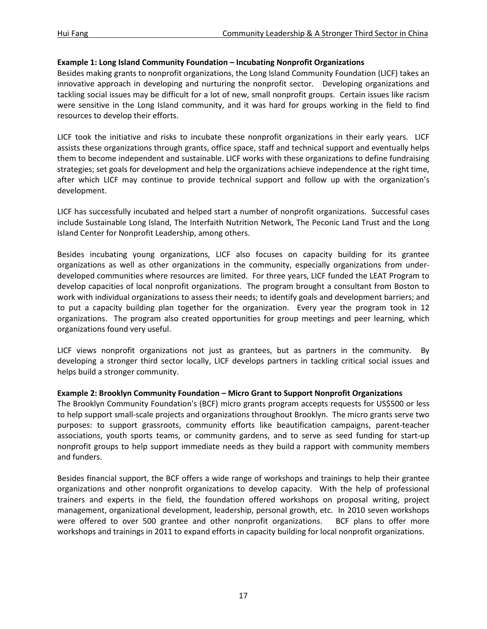#### **Example 1: Long Island Community Foundation – Incubating Nonprofit Organizations**

Besides making grants to nonprofit organizations, the Long Island Community Foundation (LICF) takes an innovative approach in developing and nurturing the nonprofit sector. Developing organizations and tackling social issues may be difficult for a lot of new, small nonprofit groups. Certain issues like racism were sensitive in the Long Island community, and it was hard for groups working in the field to find resources to develop their efforts.

LICF took the initiative and risks to incubate these nonprofit organizations in their early years. LICF assists these organizations through grants, office space, staff and technical support and eventually helps them to become independent and sustainable. LICF works with these organizations to define fundraising strategies; set goals for development and help the organizations achieve independence at the right time, after which LICF may continue to provide technical support and follow up with the organization's development.

LICF has successfully incubated and helped start a number of nonprofit organizations. Successful cases include Sustainable Long Island, The Interfaith Nutrition Network, The Peconic Land Trust and the Long Island Center for Nonprofit Leadership, among others.

Besides incubating young organizations, LICF also focuses on capacity building for its grantee organizations as well as other organizations in the community, especially organizations from underdeveloped communities where resources are limited. For three years, LICF funded the LEAT Program to develop capacities of local nonprofit organizations. The program brought a consultant from Boston to work with individual organizations to assess their needs; to identify goals and development barriers; and to put a capacity building plan together for the organization. Every year the program took in 12 organizations. The program also created opportunities for group meetings and peer learning, which organizations found very useful.

LICF views nonprofit organizations not just as grantees, but as partners in the community. By developing a stronger third sector locally, LICF develops partners in tackling critical social issues and helps build a stronger community.

#### **Example 2: Brooklyn Community Foundation – Micro Grant to Support Nonprofit Organizations**

The Brooklyn Community Foundation's (BCF) micro grants program accepts requests for US\$500 or less to help support small-scale projects and organizations throughout Brooklyn. The micro grants serve two purposes: to support grassroots, community efforts like beautification campaigns, parent-teacher associations, youth sports teams, or community gardens, and to serve as seed funding for start-up nonprofit groups to help support immediate needs as they build a rapport with community members and funders.

Besides financial support, the BCF offers a wide range of workshops and trainings to help their grantee organizations and other nonprofit organizations to develop capacity. With the help of professional trainers and experts in the field, the foundation offered workshops on proposal writing, project management, organizational development, leadership, personal growth, etc. In 2010 seven workshops were offered to over 500 grantee and other nonprofit organizations. BCF plans to offer more workshops and trainings in 2011 to expand efforts in capacity building for local nonprofit organizations.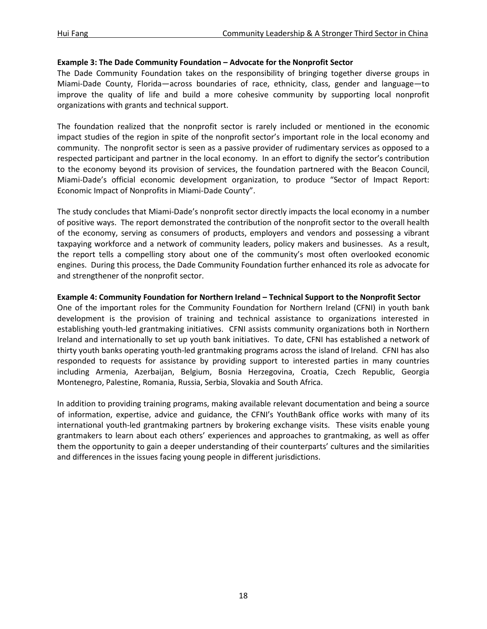#### **Example 3: The Dade Community Foundation – Advocate for the Nonprofit Sector**

The Dade Community Foundation takes on the responsibility of bringing together diverse groups in Miami-Dade County, Florida—across boundaries of race, ethnicity, class, gender and language—to improve the quality of life and build a more cohesive community by supporting local nonprofit organizations with grants and technical support.

The foundation realized that the nonprofit sector is rarely included or mentioned in the economic impact studies of the region in spite of the nonprofit sector's important role in the local economy and community. The nonprofit sector is seen as a passive provider of rudimentary services as opposed to a respected participant and partner in the local economy. In an effort to dignify the sector's contribution to the economy beyond its provision of services, the foundation partnered with the Beacon Council, Miami-Dade's official economic development organization, to produce "Sector of Impact Report: Economic Impact of Nonprofits in Miami-Dade County".

The study concludes that Miami-Dade's nonprofit sector directly impacts the local economy in a number of positive ways. The report demonstrated the contribution of the nonprofit sector to the overall health of the economy, serving as consumers of products, employers and vendors and possessing a vibrant taxpaying workforce and a network of community leaders, policy makers and businesses. As a result, the report tells a compelling story about one of the community's most often overlooked economic engines. During this process, the Dade Community Foundation further enhanced its role as advocate for and strengthener of the nonprofit sector.

#### **Example 4: Community Foundation for Northern Ireland – Technical Support to the Nonprofit Sector**

One of the important roles for the Community Foundation for Northern Ireland (CFNI) in youth bank development is the provision of training and technical assistance to organizations interested in establishing youth-led grantmaking initiatives. CFNI assists community organizations both in Northern Ireland and internationally to set up youth bank initiatives. To date, CFNI has established a network of thirty youth banks operating youth-led grantmaking programs across the island of Ireland. CFNI has also responded to requests for assistance by providing support to interested parties in many countries including Armenia, Azerbaijan, Belgium, Bosnia Herzegovina, Croatia, Czech Republic, Georgia Montenegro, Palestine, Romania, Russia, Serbia, Slovakia and South Africa.

In addition to providing training programs, making available relevant documentation and being a source of information, expertise, advice and guidance, the CFNI's YouthBank office works with many of its international youth-led grantmaking partners by brokering exchange visits. These visits enable young grantmakers to learn about each others' experiences and approaches to grantmaking, as well as offer them the opportunity to gain a deeper understanding of their counterparts' cultures and the similarities and differences in the issues facing young people in different jurisdictions.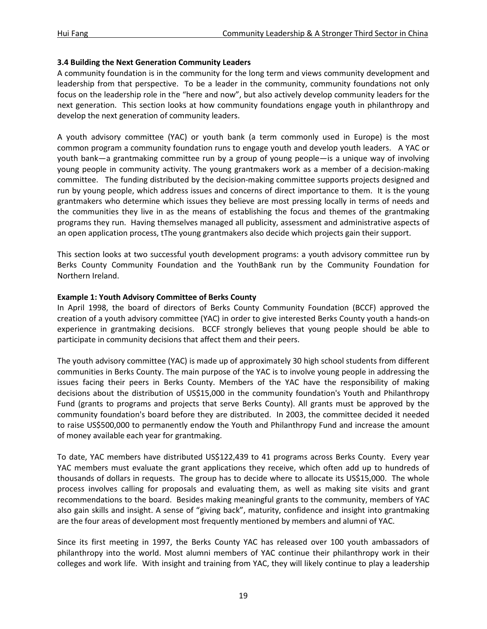# **3.4 Building the Next Generation Community Leaders**

A community foundation is in the community for the long term and views community development and leadership from that perspective. To be a leader in the community, community foundations not only focus on the leadership role in the "here and now", but also actively develop community leaders for the next generation. This section looks at how community foundations engage youth in philanthropy and develop the next generation of community leaders.

A youth advisory committee (YAC) or youth bank (a term commonly used in Europe) is the most common program a community foundation runs to engage youth and develop youth leaders. A YAC or youth bank—a grantmaking committee run by a group of young people—is a unique way of involving young people in community activity. The young grantmakers work as a member of a decision-making committee. The funding distributed by the decision-making committee supports projects designed and run by young people, which address issues and concerns of direct importance to them. It is the young grantmakers who determine which issues they believe are most pressing locally in terms of needs and the communities they live in as the means of establishing the focus and themes of the grantmaking programs they run. Having themselves managed all publicity, assessment and administrative aspects of an open application process, tThe young grantmakers also decide which projects gain their support.

This section looks at two successful youth development programs: a youth advisory committee run by Berks County Community Foundation and the YouthBank run by the Community Foundation for Northern Ireland.

#### **Example 1: Youth Advisory Committee of Berks County**

In April 1998, the board of directors of Berks County Community Foundation (BCCF) approved the creation of a youth advisory committee (YAC) in order to give interested Berks County youth a hands-on experience in grantmaking decisions. BCCF strongly believes that young people should be able to participate in community decisions that affect them and their peers.

The youth advisory committee (YAC) is made up of approximately 30 high school students from different communities in Berks County. The main purpose of the YAC is to involve young people in addressing the issues facing their peers in Berks County. Members of the YAC have the responsibility of making decisions about the distribution of US\$15,000 in the community foundation's Youth and Philanthropy Fund (grants to programs and projects that serve Berks County). All grants must be approved by the community foundation's board before they are distributed. In 2003, the committee decided it needed to raise US\$500,000 to permanently endow the Youth and Philanthropy Fund and increase the amount of money available each year for grantmaking.

To date, YAC members have distributed US\$122,439 to 41 programs across Berks County. Every year YAC members must evaluate the grant applications they receive, which often add up to hundreds of thousands of dollars in requests. The group has to decide where to allocate its US\$15,000. The whole process involves calling for proposals and evaluating them, as well as making site visits and grant recommendations to the board. Besides making meaningful grants to the community, members of YAC also gain skills and insight. A sense of "giving back", maturity, confidence and insight into grantmaking are the four areas of development most frequently mentioned by members and alumni of YAC.

Since its first meeting in 1997, the Berks County YAC has released over 100 youth ambassadors of philanthropy into the world. Most alumni members of YAC continue their philanthropy work in their colleges and work life. With insight and training from YAC, they will likely continue to play a leadership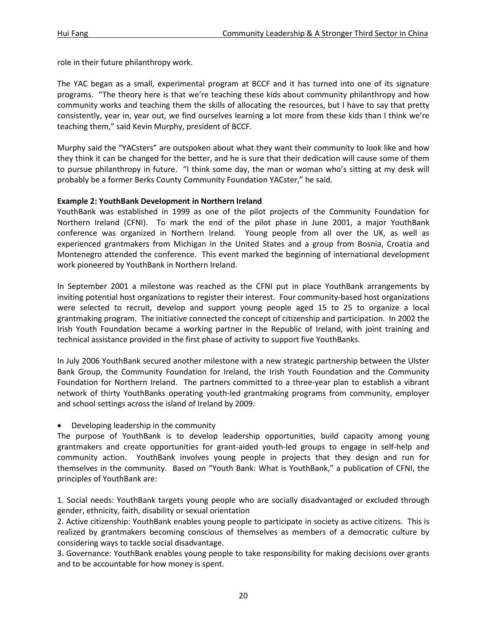role in their future philanthropy work.

The YAC began as a small, experimental program at BCCF and it has turned into one of its signature programs. "The theory here is that we're teaching these kids about community philanthropy and how community works and teaching them the skills of allocating the resources, but I have to say that pretty consistently, year in, year out, we find ourselves learning a lot more from these kids than I think we're teaching them," said Kevin Murphy, president of BCCF.

Murphy said the "YACsters" are outspoken about what they want their community to look like and how they think it can be changed for the better, and he is sure that their dedication will cause some of them to pursue philanthropy in future. "I think some day, the man or woman who's sitting at my desk will probably be a former Berks County Community Foundation YACster," he said.

#### **Example 2: YouthBank Development in Northern Ireland**

YouthBank was established in 1999 as one of the pilot projects of the Community Foundation for Northern Ireland (CFNI). To mark the end of the pilot phase in June 2001, a major YouthBank conference was organized in Northern Ireland. Young people from all over the UK, as well as experienced grantmakers from Michigan in the United States and a group from Bosnia, Croatia and Montenegro attended the conference. This event marked the beginning of international development work pioneered by YouthBank in Northern Ireland.

In September 2001 a milestone was reached as the CFNI put in place YouthBank arrangements by inviting potential host organizations to register their interest. Four community-based host organizations were selected to recruit, develop and support young people aged 15 to 25 to organize a local grantmaking program. The initiative connected the concept of citizenship and participation. In 2002 the Irish Youth Foundation became a working partner in the Republic of Ireland, with joint training and technical assistance provided in the first phase of activity to support five YouthBanks.

In July 2006 YouthBank secured another milestone with a new strategic partnership between the Ulster Bank Group, the Community Foundation for Ireland, the Irish Youth Foundation and the Community Foundation for Northern Ireland. The partners committed to a three-year plan to establish a vibrant network of thirty YouthBanks operating youth-led grantmaking programs from community, employer and school settings across the island of Ireland by 2009.

# • Developing leadership in the community

The purpose of YouthBank is to develop leadership opportunities, build capacity among young grantmakers and create opportunities for grant-aided youth-led groups to engage in self-help and community action. YouthBank involves young people in projects that they design and run for themselves in the community. Based on "Youth Bank: What is YouthBank," a publication of CFNI, the principles of YouthBank are:

1. Social needs: YouthBank targets young people who are socially disadvantaged or excluded through gender, ethnicity, faith, disability or sexual orientation

2. Active citizenship: YouthBank enables young people to participate in society as active citizens. This is realized by grantmakers becoming conscious of themselves as members of a democratic culture by considering ways to tackle social disadvantage.

3. Governance: YouthBank enables young people to take responsibility for making decisions over grants and to be accountable for how money is spent.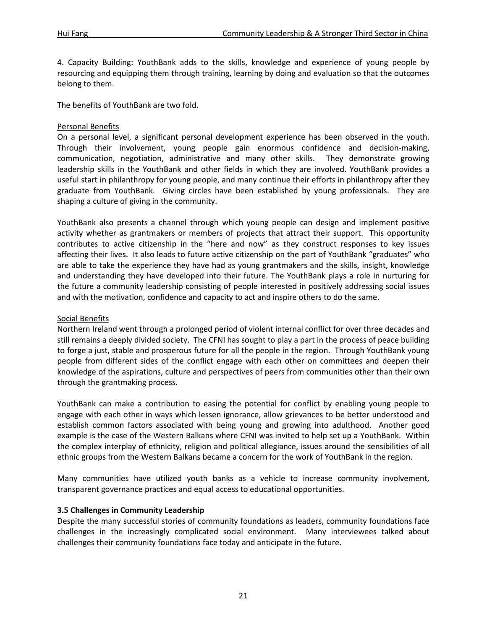4. Capacity Building: YouthBank adds to the skills, knowledge and experience of young people by resourcing and equipping them through training, learning by doing and evaluation so that the outcomes belong to them.

The benefits of YouthBank are two fold.

# Personal Benefits

On a personal level, a significant personal development experience has been observed in the youth. Through their involvement, young people gain enormous confidence and decision-making, communication, negotiation, administrative and many other skills. They demonstrate growing leadership skills in the YouthBank and other fields in which they are involved. YouthBank provides a useful start in philanthropy for young people, and many continue their efforts in philanthropy after they graduate from YouthBank. Giving circles have been established by young professionals. They are shaping a culture of giving in the community.

YouthBank also presents a channel through which young people can design and implement positive activity whether as grantmakers or members of projects that attract their support. This opportunity contributes to active citizenship in the "here and now" as they construct responses to key issues affecting their lives. It also leads to future active citizenship on the part of YouthBank "graduates" who are able to take the experience they have had as young grantmakers and the skills, insight, knowledge and understanding they have developed into their future. The YouthBank plays a role in nurturing for the future a community leadership consisting of people interested in positively addressing social issues and with the motivation, confidence and capacity to act and inspire others to do the same.

# Social Benefits

Northern Ireland went through a prolonged period of violent internal conflict for over three decades and still remains a deeply divided society. The CFNI has sought to play a part in the process of peace building to forge a just, stable and prosperous future for all the people in the region. Through YouthBank young people from different sides of the conflict engage with each other on committees and deepen their knowledge of the aspirations, culture and perspectives of peers from communities other than their own through the grantmaking process.

YouthBank can make a contribution to easing the potential for conflict by enabling young people to engage with each other in ways which lessen ignorance, allow grievances to be better understood and establish common factors associated with being young and growing into adulthood. Another good example is the case of the Western Balkans where CFNI was invited to help set up a YouthBank. Within the complex interplay of ethnicity, religion and political allegiance, issues around the sensibilities of all ethnic groups from the Western Balkans became a concern for the work of YouthBank in the region.

Many communities have utilized youth banks as a vehicle to increase community involvement, transparent governance practices and equal access to educational opportunities.

# **3.5 Challenges in Community Leadership**

Despite the many successful stories of community foundations as leaders, community foundations face challenges in the increasingly complicated social environment. Many interviewees talked about challenges their community foundations face today and anticipate in the future.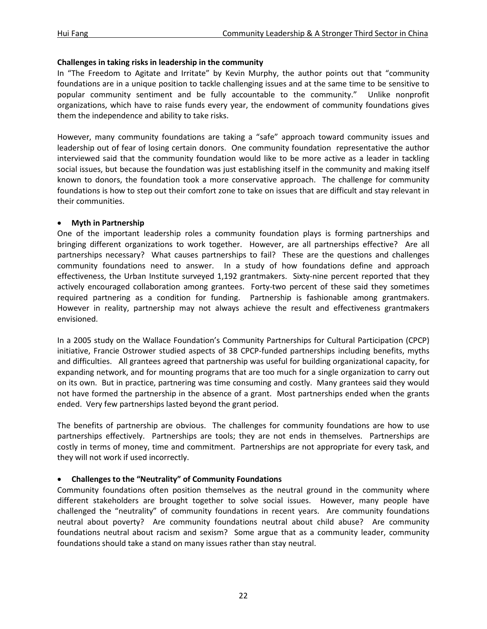# **Challenges in taking risks in leadership in the community**

In "The Freedom to Agitate and Irritate" by Kevin Murphy, the author points out that "community foundations are in a unique position to tackle challenging issues and at the same time to be sensitive to popular community sentiment and be fully accountable to the community." Unlike nonprofit organizations, which have to raise funds every year, the endowment of community foundations gives them the independence and ability to take risks.

However, many community foundations are taking a "safe" approach toward community issues and leadership out of fear of losing certain donors. One community foundation representative the author interviewed said that the community foundation would like to be more active as a leader in tackling social issues, but because the foundation was just establishing itself in the community and making itself known to donors, the foundation took a more conservative approach. The challenge for community foundations is how to step out their comfort zone to take on issues that are difficult and stay relevant in their communities.

# • **Myth in Partnership**

One of the important leadership roles a community foundation plays is forming partnerships and bringing different organizations to work together. However, are all partnerships effective? Are all partnerships necessary? What causes partnerships to fail? These are the questions and challenges community foundations need to answer. In a study of how foundations define and approach effectiveness, the Urban Institute surveyed 1,192 grantmakers. Sixty-nine percent reported that they actively encouraged collaboration among grantees. Forty-two percent of these said they sometimes required partnering as a condition for funding. Partnership is fashionable among grantmakers. However in reality, partnership may not always achieve the result and effectiveness grantmakers envisioned.

In a 2005 study on the Wallace Foundation's Community Partnerships for Cultural Participation (CPCP) initiative, Francie Ostrower studied aspects of 38 CPCP-funded partnerships including benefits, myths and difficulties. All grantees agreed that partnership was useful for building organizational capacity, for expanding network, and for mounting programs that are too much for a single organization to carry out on its own. But in practice, partnering was time consuming and costly. Many grantees said they would not have formed the partnership in the absence of a grant. Most partnerships ended when the grants ended. Very few partnerships lasted beyond the grant period.

The benefits of partnership are obvious. The challenges for community foundations are how to use partnerships effectively. Partnerships are tools; they are not ends in themselves. Partnerships are costly in terms of money, time and commitment. Partnerships are not appropriate for every task, and they will not work if used incorrectly.

# • **Challenges to the "Neutrality" of Community Foundations**

Community foundations often position themselves as the neutral ground in the community where different stakeholders are brought together to solve social issues. However, many people have challenged the "neutrality" of community foundations in recent years. Are community foundations neutral about poverty? Are community foundations neutral about child abuse? Are community foundations neutral about racism and sexism? Some argue that as a community leader, community foundations should take a stand on many issues rather than stay neutral.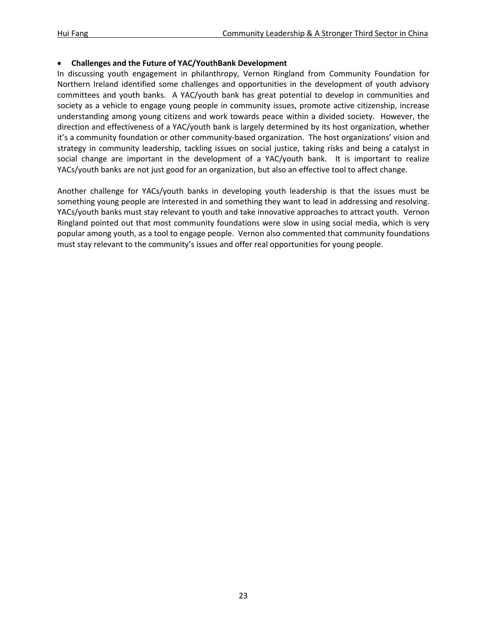#### • **Challenges and the Future of YAC/YouthBank Development**

In discussing youth engagement in philanthropy, Vernon Ringland from Community Foundation for Northern Ireland identified some challenges and opportunities in the development of youth advisory committees and youth banks. A YAC/youth bank has great potential to develop in communities and society as a vehicle to engage young people in community issues, promote active citizenship, increase understanding among young citizens and work towards peace within a divided society. However, the direction and effectiveness of a YAC/youth bank is largely determined by its host organization, whether it's a community foundation or other community-based organization. The host organizations' vision and strategy in community leadership, tackling issues on social justice, taking risks and being a catalyst in social change are important in the development of a YAC/youth bank. It is important to realize YACs/youth banks are not just good for an organization, but also an effective tool to affect change.

Another challenge for YACs/youth banks in developing youth leadership is that the issues must be something young people are interested in and something they want to lead in addressing and resolving. YACs/youth banks must stay relevant to youth and take innovative approaches to attract youth. Vernon Ringland pointed out that most community foundations were slow in using social media, which is very popular among youth, as a tool to engage people. Vernon also commented that community foundations must stay relevant to the community's issues and offer real opportunities for young people.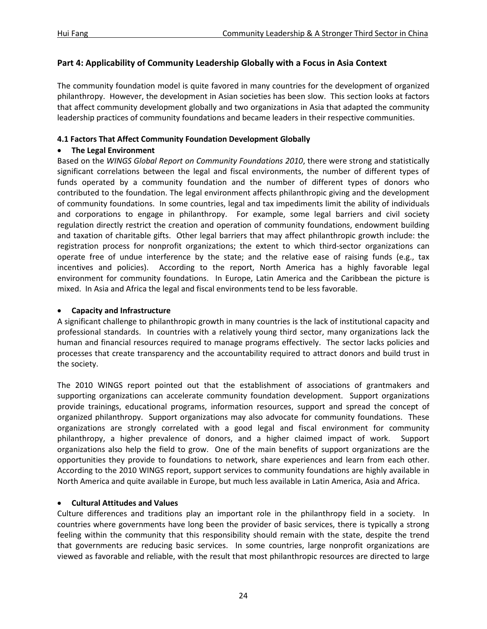# **Part 4: Applicability of Community Leadership Globally with a Focus in Asia Context**

The community foundation model is quite favored in many countries for the development of organized philanthropy. However, the development in Asian societies has been slow. This section looks at factors that affect community development globally and two organizations in Asia that adapted the community leadership practices of community foundations and became leaders in their respective communities.

# **4.1 Factors That Affect Community Foundation Development Globally**

# • **The Legal Environment**

Based on the *WINGS Global Report on Community Foundations 2010*, there were strong and statistically significant correlations between the legal and fiscal environments, the number of different types of funds operated by a community foundation and the number of different types of donors who contributed to the foundation. The legal environment affects philanthropic giving and the development of community foundations. In some countries, legal and tax impediments limit the ability of individuals and corporations to engage in philanthropy. For example, some legal barriers and civil society regulation directly restrict the creation and operation of community foundations, endowment building and taxation of charitable gifts. Other legal barriers that may affect philanthropic growth include: the registration process for nonprofit organizations; the extent to which third-sector organizations can operate free of undue interference by the state; and the relative ease of raising funds (e.g., tax incentives and policies). According to the report, North America has a highly favorable legal environment for community foundations. In Europe, Latin America and the Caribbean the picture is mixed. In Asia and Africa the legal and fiscal environments tend to be less favorable.

# • **Capacity and Infrastructure**

A significant challenge to philanthropic growth in many countries is the lack of institutional capacity and professional standards. In countries with a relatively young third sector, many organizations lack the human and financial resources required to manage programs effectively. The sector lacks policies and processes that create transparency and the accountability required to attract donors and build trust in the society.

The 2010 WINGS report pointed out that the establishment of associations of grantmakers and supporting organizations can accelerate community foundation development. Support organizations provide trainings, educational programs, information resources, support and spread the concept of organized philanthropy. Support organizations may also advocate for community foundations. These organizations are strongly correlated with a good legal and fiscal environment for community philanthropy, a higher prevalence of donors, and a higher claimed impact of work. Support organizations also help the field to grow. One of the main benefits of support organizations are the opportunities they provide to foundations to network, share experiences and learn from each other. According to the 2010 WINGS report, support services to community foundations are highly available in North America and quite available in Europe, but much less available in Latin America, Asia and Africa.

# • **Cultural Attitudes and Values**

Culture differences and traditions play an important role in the philanthropy field in a society. In countries where governments have long been the provider of basic services, there is typically a strong feeling within the community that this responsibility should remain with the state, despite the trend that governments are reducing basic services. In some countries, large nonprofit organizations are viewed as favorable and reliable, with the result that most philanthropic resources are directed to large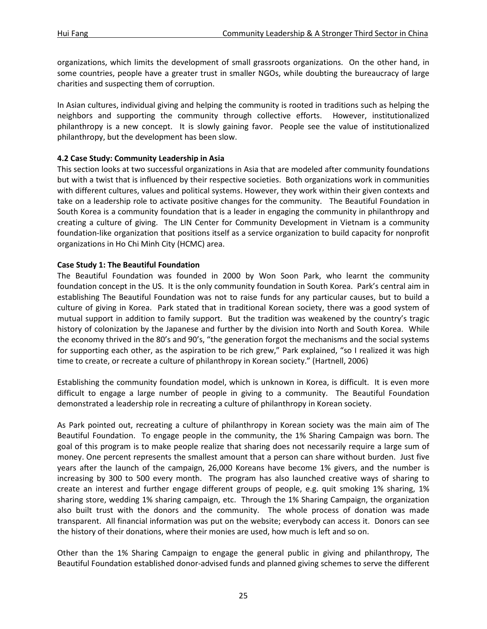organizations, which limits the development of small grassroots organizations. On the other hand, in some countries, people have a greater trust in smaller NGOs, while doubting the bureaucracy of large charities and suspecting them of corruption.

In Asian cultures, individual giving and helping the community is rooted in traditions such as helping the neighbors and supporting the community through collective efforts. However, institutionalized philanthropy is a new concept. It is slowly gaining favor. People see the value of institutionalized philanthropy, but the development has been slow.

# **4.2 Case Study: Community Leadership in Asia**

This section looks at two successful organizations in Asia that are modeled after community foundations but with a twist that is influenced by their respective societies. Both organizations work in communities with different cultures, values and political systems. However, they work within their given contexts and take on a leadership role to activate positive changes for the community. The Beautiful Foundation in South Korea is a community foundation that is a leader in engaging the community in philanthropy and creating a culture of giving. The LIN Center for Community Development in Vietnam is a community foundation-like organization that positions itself as a service organization to build capacity for nonprofit organizations in Ho Chi Minh City (HCMC) area.

# **Case Study 1: The Beautiful Foundation**

The Beautiful Foundation was founded in 2000 by Won Soon Park, who learnt the community foundation concept in the US. It is the only community foundation in South Korea. Park's central aim in establishing The Beautiful Foundation was not to raise funds for any particular causes, but to build a culture of giving in Korea. Park stated that in traditional Korean society, there was a good system of mutual support in addition to family support. But the tradition was weakened by the country's tragic history of colonization by the Japanese and further by the division into North and South Korea. While the economy thrived in the 80's and 90's, "the generation forgot the mechanisms and the social systems for supporting each other, as the aspiration to be rich grew," Park explained, "so I realized it was high time to create, or recreate a culture of philanthropy in Korean society." (Hartnell, 2006)

Establishing the community foundation model, which is unknown in Korea, is difficult. It is even more difficult to engage a large number of people in giving to a community. The Beautiful Foundation demonstrated a leadership role in recreating a culture of philanthropy in Korean society.

As Park pointed out, recreating a culture of philanthropy in Korean society was the main aim of The Beautiful Foundation. To engage people in the community, the 1% Sharing Campaign was born. The goal of this program is to make people realize that sharing does not necessarily require a large sum of money. One percent represents the smallest amount that a person can share without burden. Just five years after the launch of the campaign, 26,000 Koreans have become 1% givers, and the number is increasing by 300 to 500 every month. The program has also launched creative ways of sharing to create an interest and further engage different groups of people, e.g. quit smoking 1% sharing, 1% sharing store, wedding 1% sharing campaign, etc. Through the 1% Sharing Campaign, the organization also built trust with the donors and the community. The whole process of donation was made transparent. All financial information was put on the website; everybody can access it. Donors can see the history of their donations, where their monies are used, how much is left and so on.

Other than the 1% Sharing Campaign to engage the general public in giving and philanthropy, The Beautiful Foundation established donor-advised funds and planned giving schemes to serve the different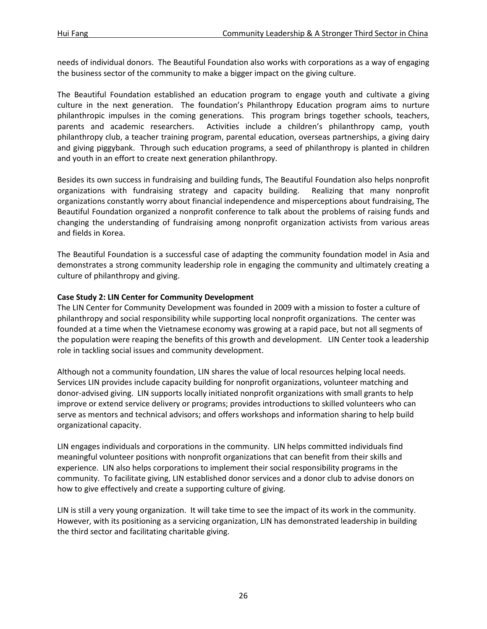needs of individual donors. The Beautiful Foundation also works with corporations as a way of engaging the business sector of the community to make a bigger impact on the giving culture.

The Beautiful Foundation established an education program to engage youth and cultivate a giving culture in the next generation. The foundation's Philanthropy Education program aims to nurture philanthropic impulses in the coming generations. This program brings together schools, teachers, parents and academic researchers. Activities include a children's philanthropy camp, youth philanthropy club, a teacher training program, parental education, overseas partnerships, a giving dairy and giving piggybank. Through such education programs, a seed of philanthropy is planted in children and youth in an effort to create next generation philanthropy.

Besides its own success in fundraising and building funds, The Beautiful Foundation also helps nonprofit organizations with fundraising strategy and capacity building. Realizing that many nonprofit organizations constantly worry about financial independence and misperceptions about fundraising, The Beautiful Foundation organized a nonprofit conference to talk about the problems of raising funds and changing the understanding of fundraising among nonprofit organization activists from various areas and fields in Korea.

The Beautiful Foundation is a successful case of adapting the community foundation model in Asia and demonstrates a strong community leadership role in engaging the community and ultimately creating a culture of philanthropy and giving.

# **Case Study 2: LIN Center for Community Development**

The LIN Center for Community Development was founded in 2009 with a mission to foster a culture of philanthropy and social responsibility while supporting local nonprofit organizations. The center was founded at a time when the Vietnamese economy was growing at a rapid pace, but not all segments of the population were reaping the benefits of this growth and development. LIN Center took a leadership role in tackling social issues and community development.

Although not a community foundation, LIN shares the value of local resources helping local needs. Services LIN provides include capacity building for nonprofit organizations, volunteer matching and donor-advised giving. LIN supports locally initiated nonprofit organizations with small grants to help improve or extend service delivery or programs; provides introductions to skilled volunteers who can serve as mentors and technical advisors; and offers workshops and information sharing to help build organizational capacity.

LIN engages individuals and corporations in the community. LIN helps committed individuals find meaningful volunteer positions with nonprofit organizations that can benefit from their skills and experience. LIN also helps corporations to implement their social responsibility programs in the community. To facilitate giving, LIN established donor services and a donor club to advise donors on how to give effectively and create a supporting culture of giving.

LIN is still a very young organization. It will take time to see the impact of its work in the community. However, with its positioning as a servicing organization, LIN has demonstrated leadership in building the third sector and facilitating charitable giving.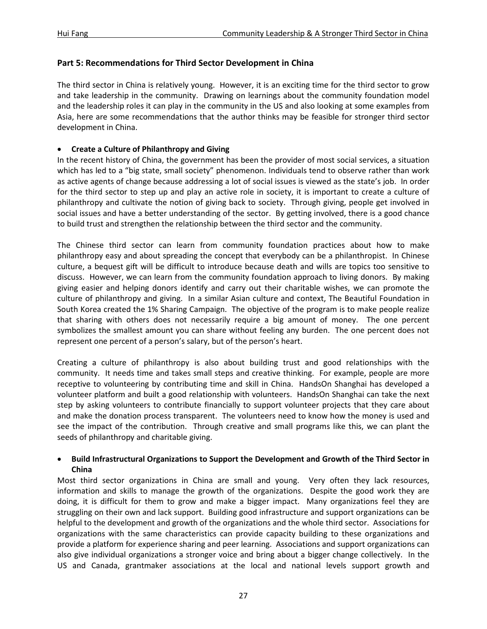# **Part 5: Recommendations for Third Sector Development in China**

The third sector in China is relatively young. However, it is an exciting time for the third sector to grow and take leadership in the community. Drawing on learnings about the community foundation model and the leadership roles it can play in the community in the US and also looking at some examples from Asia, here are some recommendations that the author thinks may be feasible for stronger third sector development in China.

# • **Create a Culture of Philanthropy and Giving**

In the recent history of China, the government has been the provider of most social services, a situation which has led to a "big state, small society" phenomenon. Individuals tend to observe rather than work as active agents of change because addressing a lot of social issues is viewed as the state's job. In order for the third sector to step up and play an active role in society, it is important to create a culture of philanthropy and cultivate the notion of giving back to society. Through giving, people get involved in social issues and have a better understanding of the sector. By getting involved, there is a good chance to build trust and strengthen the relationship between the third sector and the community.

The Chinese third sector can learn from community foundation practices about how to make philanthropy easy and about spreading the concept that everybody can be a philanthropist. In Chinese culture, a bequest gift will be difficult to introduce because death and wills are topics too sensitive to discuss. However, we can learn from the community foundation approach to living donors. By making giving easier and helping donors identify and carry out their charitable wishes, we can promote the culture of philanthropy and giving. In a similar Asian culture and context, The Beautiful Foundation in South Korea created the 1% Sharing Campaign. The objective of the program is to make people realize that sharing with others does not necessarily require a big amount of money. The one percent symbolizes the smallest amount you can share without feeling any burden. The one percent does not represent one percent of a person's salary, but of the person's heart.

Creating a culture of philanthropy is also about building trust and good relationships with the community. It needs time and takes small steps and creative thinking. For example, people are more receptive to volunteering by contributing time and skill in China. HandsOn Shanghai has developed a volunteer platform and built a good relationship with volunteers. HandsOn Shanghai can take the next step by asking volunteers to contribute financially to support volunteer projects that they care about and make the donation process transparent. The volunteers need to know how the money is used and see the impact of the contribution. Through creative and small programs like this, we can plant the seeds of philanthropy and charitable giving.

# • **Build Infrastructural Organizations to Support the Development and Growth of the Third Sector in China**

Most third sector organizations in China are small and young. Very often they lack resources, information and skills to manage the growth of the organizations. Despite the good work they are doing, it is difficult for them to grow and make a bigger impact. Many organizations feel they are struggling on their own and lack support. Building good infrastructure and support organizations can be helpful to the development and growth of the organizations and the whole third sector. Associations for organizations with the same characteristics can provide capacity building to these organizations and provide a platform for experience sharing and peer learning. Associations and support organizations can also give individual organizations a stronger voice and bring about a bigger change collectively. In the US and Canada, grantmaker associations at the local and national levels support growth and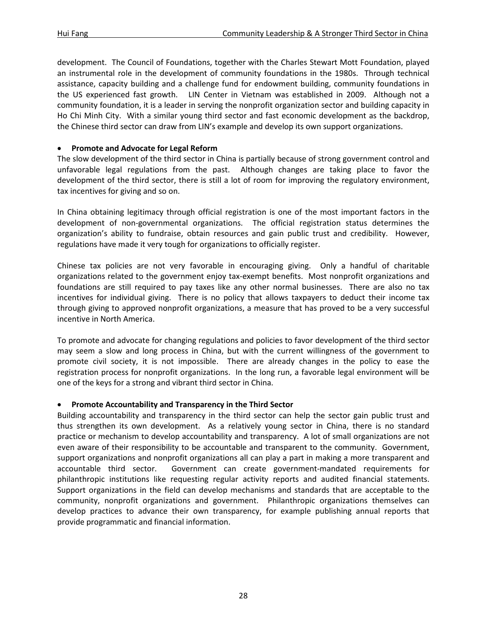development. The Council of Foundations, together with the Charles Stewart Mott Foundation, played an instrumental role in the development of community foundations in the 1980s. Through technical assistance, capacity building and a challenge fund for endowment building, community foundations in the US experienced fast growth. LIN Center in Vietnam was established in 2009. Although not a community foundation, it is a leader in serving the nonprofit organization sector and building capacity in Ho Chi Minh City. With a similar young third sector and fast economic development as the backdrop, the Chinese third sector can draw from LIN's example and develop its own support organizations.

# • **Promote and Advocate for Legal Reform**

The slow development of the third sector in China is partially because of strong government control and unfavorable legal regulations from the past. Although changes are taking place to favor the development of the third sector, there is still a lot of room for improving the regulatory environment, tax incentives for giving and so on.

In China obtaining legitimacy through official registration is one of the most important factors in the development of non-governmental organizations. The official registration status determines the organization's ability to fundraise, obtain resources and gain public trust and credibility. However, regulations have made it very tough for organizations to officially register.

Chinese tax policies are not very favorable in encouraging giving. Only a handful of charitable organizations related to the government enjoy tax-exempt benefits. Most nonprofit organizations and foundations are still required to pay taxes like any other normal businesses. There are also no tax incentives for individual giving. There is no policy that allows taxpayers to deduct their income tax through giving to approved nonprofit organizations, a measure that has proved to be a very successful incentive in North America.

To promote and advocate for changing regulations and policies to favor development of the third sector may seem a slow and long process in China, but with the current willingness of the government to promote civil society, it is not impossible. There are already changes in the policy to ease the registration process for nonprofit organizations. In the long run, a favorable legal environment will be one of the keys for a strong and vibrant third sector in China.

# • **Promote Accountability and Transparency in the Third Sector**

Building accountability and transparency in the third sector can help the sector gain public trust and thus strengthen its own development. As a relatively young sector in China, there is no standard practice or mechanism to develop accountability and transparency. A lot of small organizations are not even aware of their responsibility to be accountable and transparent to the community. Government, support organizations and nonprofit organizations all can play a part in making a more transparent and accountable third sector. Government can create government-mandated requirements for philanthropic institutions like requesting regular activity reports and audited financial statements. Support organizations in the field can develop mechanisms and standards that are acceptable to the community, nonprofit organizations and government. Philanthropic organizations themselves can develop practices to advance their own transparency, for example publishing annual reports that provide programmatic and financial information.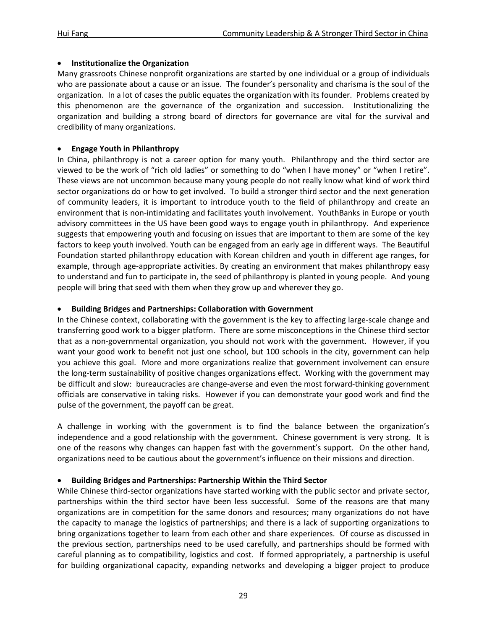# • **Institutionalize the Organization**

Many grassroots Chinese nonprofit organizations are started by one individual or a group of individuals who are passionate about a cause or an issue. The founder's personality and charisma is the soul of the organization. In a lot of cases the public equates the organization with its founder. Problems created by this phenomenon are the governance of the organization and succession. Institutionalizing the organization and building a strong board of directors for governance are vital for the survival and credibility of many organizations.

# • **Engage Youth in Philanthropy**

In China, philanthropy is not a career option for many youth. Philanthropy and the third sector are viewed to be the work of "rich old ladies" or something to do "when I have money" or "when I retire". These views are not uncommon because many young people do not really know what kind of work third sector organizations do or how to get involved. To build a stronger third sector and the next generation of community leaders, it is important to introduce youth to the field of philanthropy and create an environment that is non-intimidating and facilitates youth involvement. YouthBanks in Europe or youth advisory committees in the US have been good ways to engage youth in philanthropy. And experience suggests that empowering youth and focusing on issues that are important to them are some of the key factors to keep youth involved. Youth can be engaged from an early age in different ways. The Beautiful Foundation started philanthropy education with Korean children and youth in different age ranges, for example, through age-appropriate activities. By creating an environment that makes philanthropy easy to understand and fun to participate in, the seed of philanthropy is planted in young people. And young people will bring that seed with them when they grow up and wherever they go.

# • **Building Bridges and Partnerships: Collaboration with Government**

In the Chinese context, collaborating with the government is the key to affecting large-scale change and transferring good work to a bigger platform. There are some misconceptions in the Chinese third sector that as a non-governmental organization, you should not work with the government. However, if you want your good work to benefit not just one school, but 100 schools in the city, government can help you achieve this goal. More and more organizations realize that government involvement can ensure the long-term sustainability of positive changes organizations effect. Working with the government may be difficult and slow: bureaucracies are change-averse and even the most forward-thinking government officials are conservative in taking risks. However if you can demonstrate your good work and find the pulse of the government, the payoff can be great.

A challenge in working with the government is to find the balance between the organization's independence and a good relationship with the government. Chinese government is very strong. It is one of the reasons why changes can happen fast with the government's support. On the other hand, organizations need to be cautious about the government's influence on their missions and direction.

# • **Building Bridges and Partnerships: Partnership Within the Third Sector**

While Chinese third-sector organizations have started working with the public sector and private sector, partnerships within the third sector have been less successful. Some of the reasons are that many organizations are in competition for the same donors and resources; many organizations do not have the capacity to manage the logistics of partnerships; and there is a lack of supporting organizations to bring organizations together to learn from each other and share experiences. Of course as discussed in the previous section, partnerships need to be used carefully, and partnerships should be formed with careful planning as to compatibility, logistics and cost. If formed appropriately, a partnership is useful for building organizational capacity, expanding networks and developing a bigger project to produce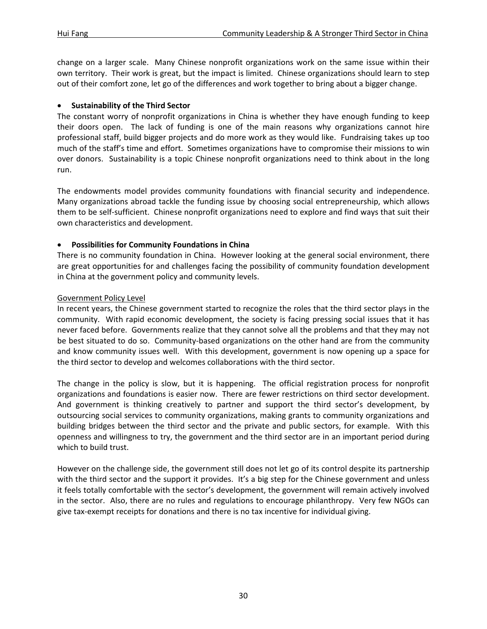change on a larger scale. Many Chinese nonprofit organizations work on the same issue within their own territory. Their work is great, but the impact is limited. Chinese organizations should learn to step out of their comfort zone, let go of the differences and work together to bring about a bigger change.

#### • **Sustainability of the Third Sector**

The constant worry of nonprofit organizations in China is whether they have enough funding to keep their doors open. The lack of funding is one of the main reasons why organizations cannot hire professional staff, build bigger projects and do more work as they would like. Fundraising takes up too much of the staff's time and effort. Sometimes organizations have to compromise their missions to win over donors. Sustainability is a topic Chinese nonprofit organizations need to think about in the long run.

The endowments model provides community foundations with financial security and independence. Many organizations abroad tackle the funding issue by choosing social entrepreneurship, which allows them to be self-sufficient. Chinese nonprofit organizations need to explore and find ways that suit their own characteristics and development.

# • **Possibilities for Community Foundations in China**

There is no community foundation in China. However looking at the general social environment, there are great opportunities for and challenges facing the possibility of community foundation development in China at the government policy and community levels.

# Government Policy Level

In recent years, the Chinese government started to recognize the roles that the third sector plays in the community. With rapid economic development, the society is facing pressing social issues that it has never faced before. Governments realize that they cannot solve all the problems and that they may not be best situated to do so. Community-based organizations on the other hand are from the community and know community issues well. With this development, government is now opening up a space for the third sector to develop and welcomes collaborations with the third sector.

The change in the policy is slow, but it is happening. The official registration process for nonprofit organizations and foundations is easier now. There are fewer restrictions on third sector development. And government is thinking creatively to partner and support the third sector's development, by outsourcing social services to community organizations, making grants to community organizations and building bridges between the third sector and the private and public sectors, for example. With this openness and willingness to try, the government and the third sector are in an important period during which to build trust.

However on the challenge side, the government still does not let go of its control despite its partnership with the third sector and the support it provides. It's a big step for the Chinese government and unless it feels totally comfortable with the sector's development, the government will remain actively involved in the sector. Also, there are no rules and regulations to encourage philanthropy. Very few NGOs can give tax-exempt receipts for donations and there is no tax incentive for individual giving.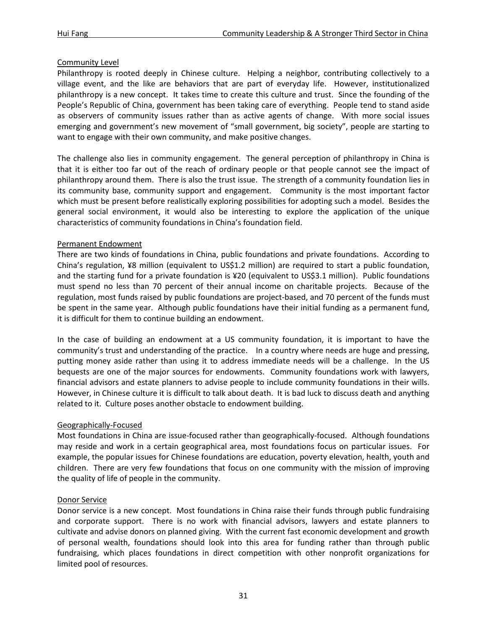# Community Level

Philanthropy is rooted deeply in Chinese culture. Helping a neighbor, contributing collectively to a village event, and the like are behaviors that are part of everyday life. However, institutionalized philanthropy is a new concept. It takes time to create this culture and trust. Since the founding of the People's Republic of China, government has been taking care of everything. People tend to stand aside as observers of community issues rather than as active agents of change. With more social issues emerging and government's new movement of "small government, big society", people are starting to want to engage with their own community, and make positive changes.

The challenge also lies in community engagement. The general perception of philanthropy in China is that it is either too far out of the reach of ordinary people or that people cannot see the impact of philanthropy around them. There is also the trust issue. The strength of a community foundation lies in its community base, community support and engagement. Community is the most important factor which must be present before realistically exploring possibilities for adopting such a model. Besides the general social environment, it would also be interesting to explore the application of the unique characteristics of community foundations in China's foundation field.

# Permanent Endowment

There are two kinds of foundations in China, public foundations and private foundations. According to China's regulation, ¥8 million (equivalent to US\$1.2 million) are required to start a public foundation, and the starting fund for a private foundation is ¥20 (equivalent to US\$3.1 million). Public foundations must spend no less than 70 percent of their annual income on charitable projects. Because of the regulation, most funds raised by public foundations are project-based, and 70 percent of the funds must be spent in the same year. Although public foundations have their initial funding as a permanent fund, it is difficult for them to continue building an endowment.

In the case of building an endowment at a US community foundation, it is important to have the community's trust and understanding of the practice. In a country where needs are huge and pressing, putting money aside rather than using it to address immediate needs will be a challenge. In the US bequests are one of the major sources for endowments. Community foundations work with lawyers, financial advisors and estate planners to advise people to include community foundations in their wills. However, in Chinese culture it is difficult to talk about death. It is bad luck to discuss death and anything related to it. Culture poses another obstacle to endowment building.

# Geographically-Focused

Most foundations in China are issue-focused rather than geographically-focused. Although foundations may reside and work in a certain geographical area, most foundations focus on particular issues. For example, the popular issues for Chinese foundations are education, poverty elevation, health, youth and children. There are very few foundations that focus on one community with the mission of improving the quality of life of people in the community.

# Donor Service

Donor service is a new concept. Most foundations in China raise their funds through public fundraising and corporate support. There is no work with financial advisors, lawyers and estate planners to cultivate and advise donors on planned giving. With the current fast economic development and growth of personal wealth, foundations should look into this area for funding rather than through public fundraising, which places foundations in direct competition with other nonprofit organizations for limited pool of resources.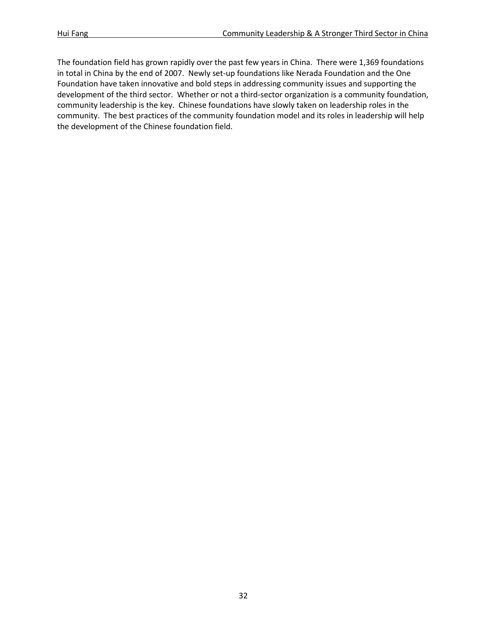The foundation field has grown rapidly over the past few years in China. There were 1,369 foundations in total in China by the end of 2007. Newly set-up foundations like Nerada Foundation and the One Foundation have taken innovative and bold steps in addressing community issues and supporting the development of the third sector. Whether or not a third-sector organization is a community foundation, community leadership is the key. Chinese foundations have slowly taken on leadership roles in the community. The best practices of the community foundation model and its roles in leadership will help the development of the Chinese foundation field.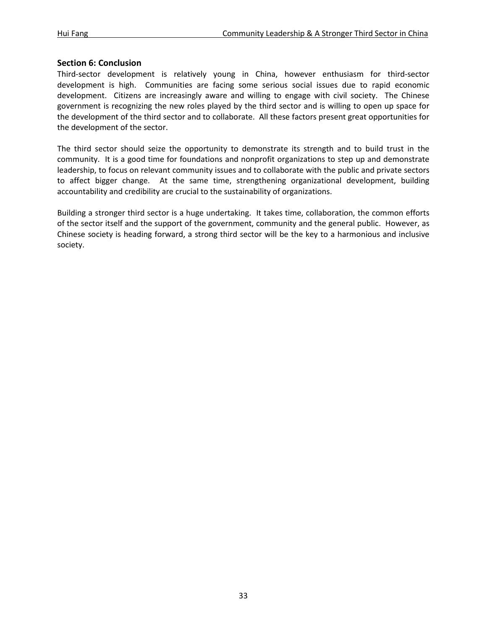# **Section 6: Conclusion**

Third-sector development is relatively young in China, however enthusiasm for third-sector development is high. Communities are facing some serious social issues due to rapid economic development. Citizens are increasingly aware and willing to engage with civil society. The Chinese government is recognizing the new roles played by the third sector and is willing to open up space for the development of the third sector and to collaborate. All these factors present great opportunities for the development of the sector.

The third sector should seize the opportunity to demonstrate its strength and to build trust in the community. It is a good time for foundations and nonprofit organizations to step up and demonstrate leadership, to focus on relevant community issues and to collaborate with the public and private sectors to affect bigger change. At the same time, strengthening organizational development, building accountability and credibility are crucial to the sustainability of organizations.

Building a stronger third sector is a huge undertaking. It takes time, collaboration, the common efforts of the sector itself and the support of the government, community and the general public. However, as Chinese society is heading forward, a strong third sector will be the key to a harmonious and inclusive society.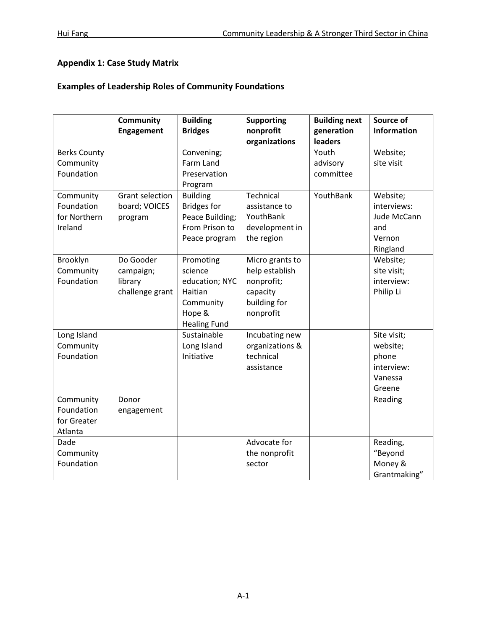# **Appendix 1: Case Study Matrix**

# **Examples of Leadership Roles of Community Foundations**

|                     | Community              | <b>Building</b>     | <b>Supporting</b> | <b>Building next</b> | Source of          |
|---------------------|------------------------|---------------------|-------------------|----------------------|--------------------|
|                     | Engagement             | <b>Bridges</b>      | nonprofit         | generation           | <b>Information</b> |
|                     |                        |                     | organizations     | leaders              |                    |
| <b>Berks County</b> |                        | Convening;          |                   | Youth                | Website;           |
| Community           |                        | Farm Land           |                   | advisory             | site visit         |
| Foundation          |                        | Preservation        |                   | committee            |                    |
|                     |                        | Program             |                   |                      |                    |
| Community           | <b>Grant selection</b> | <b>Building</b>     | Technical         | YouthBank            | Website;           |
| Foundation          | board; VOICES          | <b>Bridges for</b>  | assistance to     |                      | interviews:        |
| for Northern        | program                | Peace Building;     | YouthBank         |                      | Jude McCann        |
| Ireland             |                        | From Prison to      | development in    |                      | and                |
|                     |                        | Peace program       | the region        |                      | Vernon             |
|                     |                        |                     |                   |                      | Ringland           |
| Brooklyn            | Do Gooder              | Promoting           | Micro grants to   |                      | Website;           |
| Community           | campaign;              | science             | help establish    |                      | site visit;        |
| Foundation          | library                | education; NYC      | nonprofit;        |                      | interview:         |
|                     | challenge grant        | Haitian             | capacity          |                      | Philip Li          |
|                     |                        | Community           | building for      |                      |                    |
|                     |                        | Hope &              | nonprofit         |                      |                    |
|                     |                        | <b>Healing Fund</b> |                   |                      |                    |
| Long Island         |                        | Sustainable         | Incubating new    |                      | Site visit;        |
| Community           |                        | Long Island         | organizations &   |                      | website;           |
| Foundation          |                        | Initiative          | technical         |                      | phone              |
|                     |                        |                     | assistance        |                      | interview:         |
|                     |                        |                     |                   |                      | Vanessa            |
|                     |                        |                     |                   |                      | Greene             |
| Community           | Donor                  |                     |                   |                      | Reading            |
| Foundation          | engagement             |                     |                   |                      |                    |
| for Greater         |                        |                     |                   |                      |                    |
| Atlanta             |                        |                     |                   |                      |                    |
| Dade                |                        |                     | Advocate for      |                      | Reading,           |
| Community           |                        |                     | the nonprofit     |                      | "Beyond            |
| Foundation          |                        |                     | sector            |                      | Money &            |
|                     |                        |                     |                   |                      | Grantmaking"       |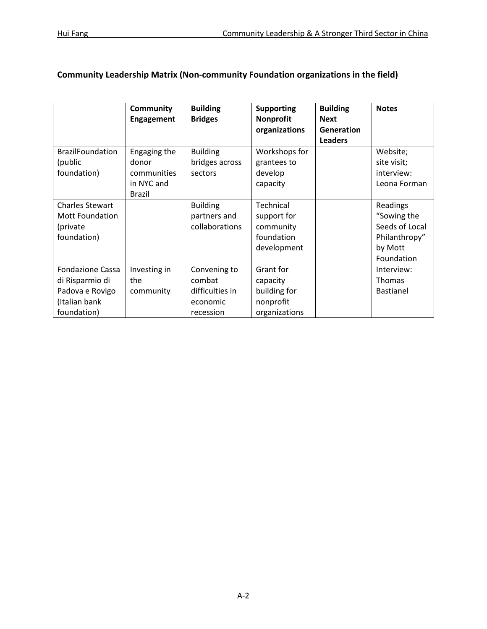|                                                                                               | <b>Community</b><br><b>Engagement</b>                               | <b>Building</b><br><b>Bridges</b>                                  | <b>Supporting</b><br><b>Nonprofit</b><br>organizations              | <b>Building</b><br><b>Next</b><br>Generation<br><b>Leaders</b> | <b>Notes</b>                                                                        |
|-----------------------------------------------------------------------------------------------|---------------------------------------------------------------------|--------------------------------------------------------------------|---------------------------------------------------------------------|----------------------------------------------------------------|-------------------------------------------------------------------------------------|
| <b>BrazilFoundation</b><br>(public<br>foundation)                                             | Engaging the<br>donor<br>communities<br>in NYC and<br><b>Brazil</b> | <b>Building</b><br>bridges across<br>sectors                       | Workshops for<br>grantees to<br>develop<br>capacity                 |                                                                | Website;<br>site visit;<br>interview:<br>Leona Forman                               |
| <b>Charles Stewart</b><br><b>Mott Foundation</b><br>(private<br>foundation)                   |                                                                     | <b>Building</b><br>partners and<br>collaborations                  | Technical<br>support for<br>community<br>foundation<br>development  |                                                                | Readings<br>"Sowing the<br>Seeds of Local<br>Philanthropy"<br>by Mott<br>Foundation |
| <b>Fondazione Cassa</b><br>di Risparmio di<br>Padova e Rovigo<br>(Italian bank<br>foundation) | Investing in<br>the<br>community                                    | Convening to<br>combat<br>difficulties in<br>economic<br>recession | Grant for<br>capacity<br>building for<br>nonprofit<br>organizations |                                                                | Interview:<br><b>Thomas</b><br><b>Bastianel</b>                                     |

# **Community Leadership Matrix (Non-community Foundation organizations in the field)**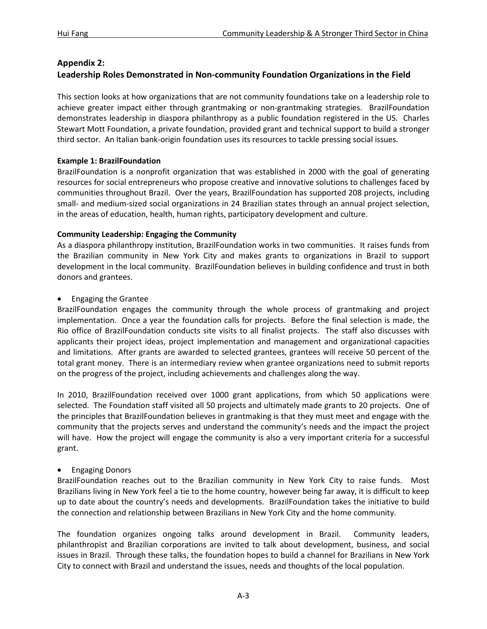# **Appendix 2:**

# **Leadership Roles Demonstrated in Non-community Foundation Organizations in the Field**

This section looks at how organizations that are not community foundations take on a leadership role to achieve greater impact either through grantmaking or non-grantmaking strategies. BrazilFoundation demonstrates leadership in diaspora philanthropy as a public foundation registered in the US. Charles Stewart Mott Foundation, a private foundation, provided grant and technical support to build a stronger third sector. An Italian bank-origin foundation uses its resources to tackle pressing social issues.

# **Example 1: BrazilFoundation**

BrazilFoundation is a nonprofit organization that was established in 2000 with the goal of generating resources for social entrepreneurs who propose creative and innovative solutions to challenges faced by communities throughout Brazil. Over the years, BrazilFoundation has supported 208 projects, including small- and medium-sized social organizations in 24 Brazilian states through an annual project selection, in the areas of education, health, human rights, participatory development and culture.

# **Community Leadership: Engaging the Community**

As a diaspora philanthropy institution, BrazilFoundation works in two communities. It raises funds from the Brazilian community in New York City and makes grants to organizations in Brazil to support development in the local community. BrazilFoundation believes in building confidence and trust in both donors and grantees.

# • Engaging the Grantee

BrazilFoundation engages the community through the whole process of grantmaking and project implementation. Once a year the foundation calls for projects. Before the final selection is made, the Rio office of BrazilFoundation conducts site visits to all finalist projects. The staff also discusses with applicants their project ideas, project implementation and management and organizational capacities and limitations. After grants are awarded to selected grantees, grantees will receive 50 percent of the total grant money. There is an intermediary review when grantee organizations need to submit reports on the progress of the project, including achievements and challenges along the way.

In 2010, BrazilFoundation received over 1000 grant applications, from which 50 applications were selected. The Foundation staff visited all 50 projects and ultimately made grants to 20 projects. One of the principles that BrazilFoundation believes in grantmaking is that they must meet and engage with the community that the projects serves and understand the community's needs and the impact the project will have. How the project will engage the community is also a very important criteria for a successful grant.

# • Engaging Donors

BrazilFoundation reaches out to the Brazilian community in New York City to raise funds. Most Brazilians living in New York feel a tie to the home country, however being far away, it is difficult to keep up to date about the country's needs and developments. BrazilFoundation takes the initiative to build the connection and relationship between Brazilians in New York City and the home community.

The foundation organizes ongoing talks around development in Brazil. Community leaders, philanthropist and Brazilian corporations are invited to talk about development, business, and social issues in Brazil. Through these talks, the foundation hopes to build a channel for Brazilians in New York City to connect with Brazil and understand the issues, needs and thoughts of the local population.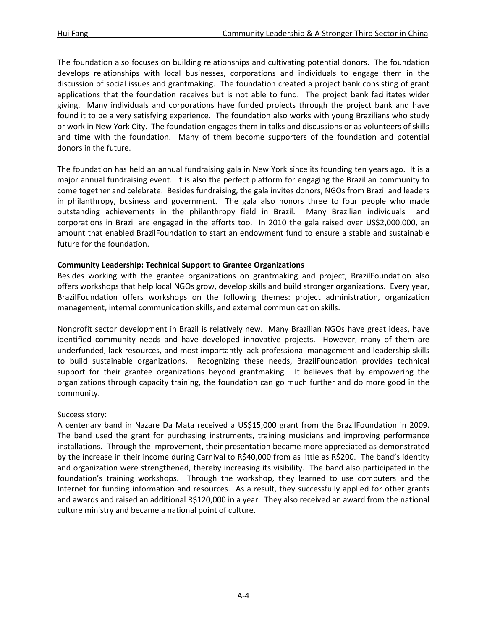The foundation also focuses on building relationships and cultivating potential donors. The foundation develops relationships with local businesses, corporations and individuals to engage them in the discussion of social issues and grantmaking. The foundation created a project bank consisting of grant applications that the foundation receives but is not able to fund. The project bank facilitates wider giving. Many individuals and corporations have funded projects through the project bank and have found it to be a very satisfying experience. The foundation also works with young Brazilians who study or work in New York City. The foundation engages them in talks and discussions or as volunteers of skills and time with the foundation. Many of them become supporters of the foundation and potential donors in the future.

The foundation has held an annual fundraising gala in New York since its founding ten years ago. It is a major annual fundraising event. It is also the perfect platform for engaging the Brazilian community to come together and celebrate. Besides fundraising, the gala invites donors, NGOs from Brazil and leaders in philanthropy, business and government. The gala also honors three to four people who made outstanding achievements in the philanthropy field in Brazil. Many Brazilian individuals and corporations in Brazil are engaged in the efforts too. In 2010 the gala raised over US\$2,000,000, an amount that enabled BrazilFoundation to start an endowment fund to ensure a stable and sustainable future for the foundation.

# **Community Leadership: Technical Support to Grantee Organizations**

Besides working with the grantee organizations on grantmaking and project, BrazilFoundation also offers workshops that help local NGOs grow, develop skills and build stronger organizations. Every year, BrazilFoundation offers workshops on the following themes: project administration, organization management, internal communication skills, and external communication skills.

Nonprofit sector development in Brazil is relatively new. Many Brazilian NGOs have great ideas, have identified community needs and have developed innovative projects. However, many of them are underfunded, lack resources, and most importantly lack professional management and leadership skills to build sustainable organizations. Recognizing these needs, BrazilFoundation provides technical support for their grantee organizations beyond grantmaking. It believes that by empowering the organizations through capacity training, the foundation can go much further and do more good in the community.

# Success story:

A centenary band in Nazare Da Mata received a US\$15,000 grant from the BrazilFoundation in 2009. The band used the grant for purchasing instruments, training musicians and improving performance installations. Through the improvement, their presentation became more appreciated as demonstrated by the increase in their income during Carnival to R\$40,000 from as little as R\$200. The band's identity and organization were strengthened, thereby increasing its visibility. The band also participated in the foundation's training workshops. Through the workshop, they learned to use computers and the Internet for funding information and resources. As a result, they successfully applied for other grants and awards and raised an additional R\$120,000 in a year. They also received an award from the national culture ministry and became a national point of culture.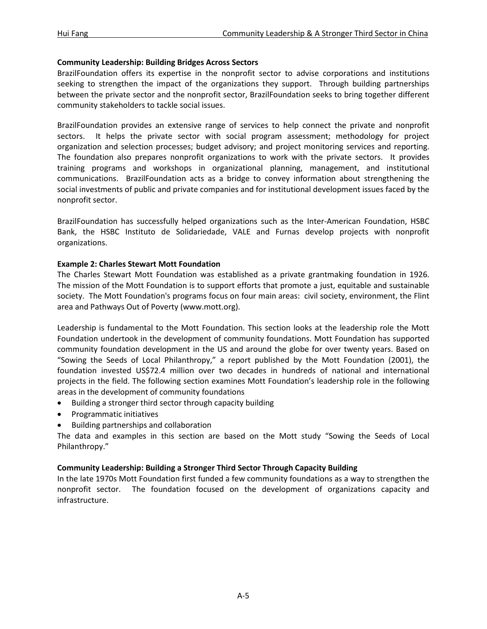#### **Community Leadership: Building Bridges Across Sectors**

BrazilFoundation offers its expertise in the nonprofit sector to advise corporations and institutions seeking to strengthen the impact of the organizations they support. Through building partnerships between the private sector and the nonprofit sector, BrazilFoundation seeks to bring together different community stakeholders to tackle social issues.

BrazilFoundation provides an extensive range of services to help connect the private and nonprofit sectors. It helps the private sector with social program assessment; methodology for project organization and selection processes; budget advisory; and project monitoring services and reporting. The foundation also prepares nonprofit organizations to work with the private sectors. It provides training programs and workshops in organizational planning, management, and institutional communications. BrazilFoundation acts as a bridge to convey information about strengthening the social investments of public and private companies and for institutional development issues faced by the nonprofit sector.

BrazilFoundation has successfully helped organizations such as the Inter-American Foundation, HSBC Bank, the HSBC Instituto de Solidariedade, VALE and Furnas develop projects with nonprofit organizations.

#### **Example 2: Charles Stewart Mott Foundation**

The Charles Stewart Mott Foundation was established as a private grantmaking foundation in 1926. The mission of the Mott Foundation is to support efforts that promote a just, equitable and sustainable society. The Mott Foundation's programs focus on four main areas: civil society, environment, the Flint area and Pathways Out of Poverty (www.mott.org).

Leadership is fundamental to the Mott Foundation. This section looks at the leadership role the Mott Foundation undertook in the development of community foundations. Mott Foundation has supported community foundation development in the US and around the globe for over twenty years. Based on "Sowing the Seeds of Local Philanthropy," a report published by the Mott Foundation (2001), the foundation invested US\$72.4 million over two decades in hundreds of national and international projects in the field. The following section examines Mott Foundation's leadership role in the following areas in the development of community foundations

- Building a stronger third sector through capacity building
- Programmatic initiatives
- Building partnerships and collaboration

The data and examples in this section are based on the Mott study "Sowing the Seeds of Local Philanthropy."

# **Community Leadership: Building a Stronger Third Sector Through Capacity Building**

In the late 1970s Mott Foundation first funded a few community foundations as a way to strengthen the nonprofit sector. The foundation focused on the development of organizations capacity and infrastructure.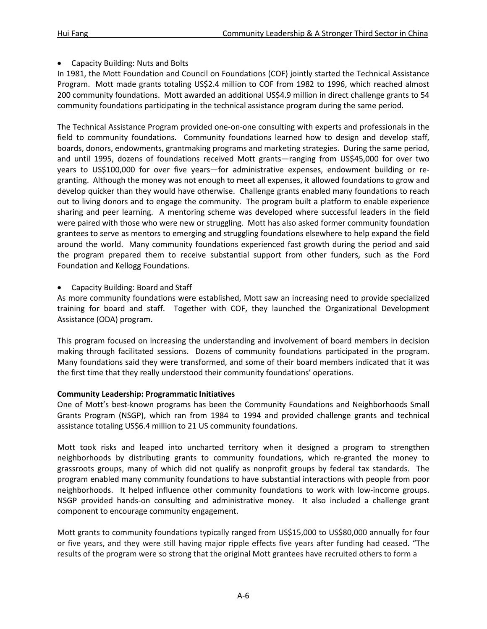# • Capacity Building: Nuts and Bolts

In 1981, the Mott Foundation and Council on Foundations (COF) jointly started the Technical Assistance Program. Mott made grants totaling US\$2.4 million to COF from 1982 to 1996, which reached almost 200 community foundations. Mott awarded an additional US\$4.9 million in direct challenge grants to 54 community foundations participating in the technical assistance program during the same period.

The Technical Assistance Program provided one-on-one consulting with experts and professionals in the field to community foundations. Community foundations learned how to design and develop staff, boards, donors, endowments, grantmaking programs and marketing strategies. During the same period, and until 1995, dozens of foundations received Mott grants—ranging from US\$45,000 for over two years to US\$100,000 for over five years—for administrative expenses, endowment building or regranting. Although the money was not enough to meet all expenses, it allowed foundations to grow and develop quicker than they would have otherwise. Challenge grants enabled many foundations to reach out to living donors and to engage the community. The program built a platform to enable experience sharing and peer learning. A mentoring scheme was developed where successful leaders in the field were paired with those who were new or struggling. Mott has also asked former community foundation grantees to serve as mentors to emerging and struggling foundations elsewhere to help expand the field around the world. Many community foundations experienced fast growth during the period and said the program prepared them to receive substantial support from other funders, such as the Ford Foundation and Kellogg Foundations.

# • Capacity Building: Board and Staff

As more community foundations were established, Mott saw an increasing need to provide specialized training for board and staff. Together with COF, they launched the Organizational Development Assistance (ODA) program.

This program focused on increasing the understanding and involvement of board members in decision making through facilitated sessions. Dozens of community foundations participated in the program. Many foundations said they were transformed, and some of their board members indicated that it was the first time that they really understood their community foundations' operations.

# **Community Leadership: Programmatic Initiatives**

One of Mott's best-known programs has been the Community Foundations and Neighborhoods Small Grants Program (NSGP), which ran from 1984 to 1994 and provided challenge grants and technical assistance totaling US\$6.4 million to 21 US community foundations.

Mott took risks and leaped into uncharted territory when it designed a program to strengthen neighborhoods by distributing grants to community foundations, which re-granted the money to grassroots groups, many of which did not qualify as nonprofit groups by federal tax standards. The program enabled many community foundations to have substantial interactions with people from poor neighborhoods. It helped influence other community foundations to work with low-income groups. NSGP provided hands-on consulting and administrative money. It also included a challenge grant component to encourage community engagement.

Mott grants to community foundations typically ranged from US\$15,000 to US\$80,000 annually for four or five years, and they were still having major ripple effects five years after funding had ceased. "The results of the program were so strong that the original Mott grantees have recruited others to form a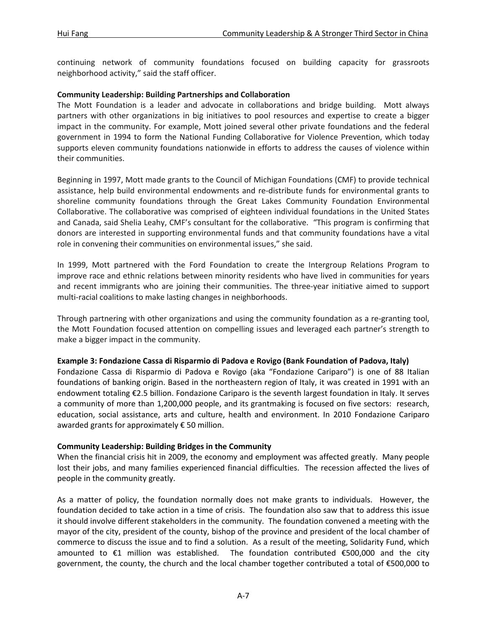continuing network of community foundations focused on building capacity for grassroots neighborhood activity," said the staff officer.

#### **Community Leadership: Building Partnerships and Collaboration**

The Mott Foundation is a leader and advocate in collaborations and bridge building. Mott always partners with other organizations in big initiatives to pool resources and expertise to create a bigger impact in the community. For example, Mott joined several other private foundations and the federal government in 1994 to form the National Funding Collaborative for Violence Prevention, which today supports eleven community foundations nationwide in efforts to address the causes of violence within their communities.

Beginning in 1997, Mott made grants to the Council of Michigan Foundations (CMF) to provide technical assistance, help build environmental endowments and re-distribute funds for environmental grants to shoreline community foundations through the Great Lakes Community Foundation Environmental Collaborative. The collaborative was comprised of eighteen individual foundations in the United States and Canada, said Shelia Leahy, CMF's consultant for the collaborative. "This program is confirming that donors are interested in supporting environmental funds and that community foundations have a vital role in convening their communities on environmental issues," she said.

In 1999, Mott partnered with the Ford Foundation to create the Intergroup Relations Program to improve race and ethnic relations between minority residents who have lived in communities for years and recent immigrants who are joining their communities. The three-year initiative aimed to support multi-racial coalitions to make lasting changes in neighborhoods.

Through partnering with other organizations and using the community foundation as a re-granting tool, the Mott Foundation focused attention on compelling issues and leveraged each partner's strength to make a bigger impact in the community.

#### **Example 3: Fondazione Cassa di Risparmio di Padova e Rovigo (Bank Foundation of Padova, Italy)**

Fondazione Cassa di Risparmio di Padova e Rovigo (aka "Fondazione Cariparo") is one of 88 Italian foundations of banking origin. Based in the northeastern region of Italy, it was created in 1991 with an endowment totaling €2.5 billion. Fondazione Cariparo is the seventh largest foundation in Italy. It serves a community of more than 1,200,000 people, and its grantmaking is focused on five sectors: research, education, social assistance, arts and culture, health and environment. In 2010 Fondazione Cariparo awarded grants for approximately € 50 million.

# **Community Leadership: Building Bridges in the Community**

When the financial crisis hit in 2009, the economy and employment was affected greatly. Many people lost their jobs, and many families experienced financial difficulties. The recession affected the lives of people in the community greatly.

As a matter of policy, the foundation normally does not make grants to individuals. However, the foundation decided to take action in a time of crisis. The foundation also saw that to address this issue it should involve different stakeholders in the community. The foundation convened a meeting with the mayor of the city, president of the county, bishop of the province and president of the local chamber of commerce to discuss the issue and to find a solution. As a result of the meeting, Solidarity Fund, which amounted to  $€1$  million was established. The foundation contributed  $€500,000$  and the city government, the county, the church and the local chamber together contributed a total of €500,000 to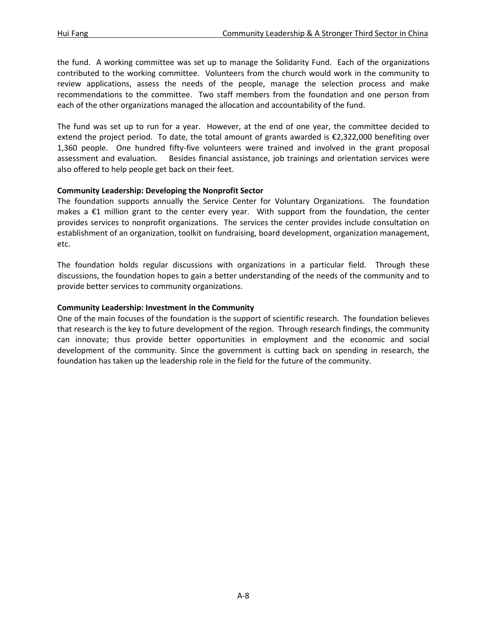the fund. A working committee was set up to manage the Solidarity Fund. Each of the organizations contributed to the working committee. Volunteers from the church would work in the community to review applications, assess the needs of the people, manage the selection process and make recommendations to the committee. Two staff members from the foundation and one person from each of the other organizations managed the allocation and accountability of the fund.

The fund was set up to run for a year. However, at the end of one year, the committee decided to extend the project period. To date, the total amount of grants awarded is €2,322,000 benefiting over 1,360 people. One hundred fifty-five volunteers were trained and involved in the grant proposal assessment and evaluation. Besides financial assistance, job trainings and orientation services were also offered to help people get back on their feet.

# **Community Leadership: Developing the Nonprofit Sector**

The foundation supports annually the Service Center for Voluntary Organizations. The foundation makes a  $E1$  million grant to the center every year. With support from the foundation, the center provides services to nonprofit organizations. The services the center provides include consultation on establishment of an organization, toolkit on fundraising, board development, organization management, etc.

The foundation holds regular discussions with organizations in a particular field. Through these discussions, the foundation hopes to gain a better understanding of the needs of the community and to provide better services to community organizations.

# **Community Leadership: Investment in the Community**

One of the main focuses of the foundation is the support of scientific research. The foundation believes that research is the key to future development of the region. Through research findings, the community can innovate; thus provide better opportunities in employment and the economic and social development of the community. Since the government is cutting back on spending in research, the foundation has taken up the leadership role in the field for the future of the community.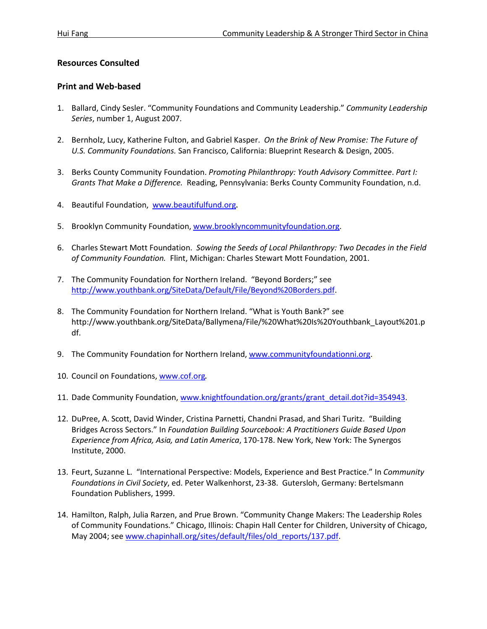# **Resources Consulted**

# **Print and Web-based**

- 1. Ballard, Cindy Sesler. "Community Foundations and Community Leadership." *Community Leadership Series*, number 1, August 2007.
- 2. Bernholz, Lucy, Katherine Fulton, and Gabriel Kasper. *On the Brink of New Promise: The Future of U.S. Community Foundations.* San Francisco, California: Blueprint Research & Design, 2005.
- 3. Berks County Community Foundation. *Promoting Philanthropy: Youth Advisory Committee*. *Part I: Grants That Make a Difference.* Reading, Pennsylvania: Berks County Community Foundation, n.d.
- 4. Beautiful Foundation, www.beautifulfund.org.
- 5. Brooklyn Community Foundation, www.brooklyncommunityfoundation.org.
- 6. Charles Stewart Mott Foundation. *Sowing the Seeds of Local Philanthropy: Two Decades in the Field of Community Foundation.* Flint, Michigan: Charles Stewart Mott Foundation, 2001.
- 7. The Community Foundation for Northern Ireland. "Beyond Borders;" see [http://www.youthbank.org/SiteData/Default/File/Beyond%20Borders.pdf.](http://www.youthbank.org/SiteData/Default/File/Beyond%20Borders.pdf)
- 8. The Community Foundation for Northern Ireland. "What is Youth Bank?" see http://www.youthbank.org/SiteData/Ballymena/File/%20What%20Is%20Youthbank\_Layout%201.p df.
- 9. The Community Foundation for Northern Ireland, www.communityfoundationni.org.
- 10. Council on Foundations, www.cof.org.
- 11. Dade Community Foundation, www.knightfoundation.org/grants/grant\_detail.dot?id=354943.
- 12. DuPree, A. Scott, David Winder, Cristina Parnetti, Chandni Prasad, and Shari Turitz. "Building Bridges Across Sectors." In *Foundation Building Sourcebook: A Practitioners Guide Based Upon Experience from Africa, Asia, and Latin America*, 170-178. New York, New York: The Synergos Institute, 2000.
- 13. Feurt, Suzanne L. "International Perspective: Models, Experience and Best Practice." In *Community Foundations in Civil Society*, ed. Peter Walkenhorst, 23-38. Gutersloh, Germany: Bertelsmann Foundation Publishers, 1999.
- 14. Hamilton, Ralph, Julia Rarzen, and Prue Brown. "Community Change Makers: The Leadership Roles of Community Foundations." Chicago, Illinois: Chapin Hall Center for Children, University of Chicago, May 2004; se[e www.chapinhall.org/sites/default/files/old\\_reports/137.pdf.](http://www.chapinhall.org/sites/default/files/old_reports/137.pdf)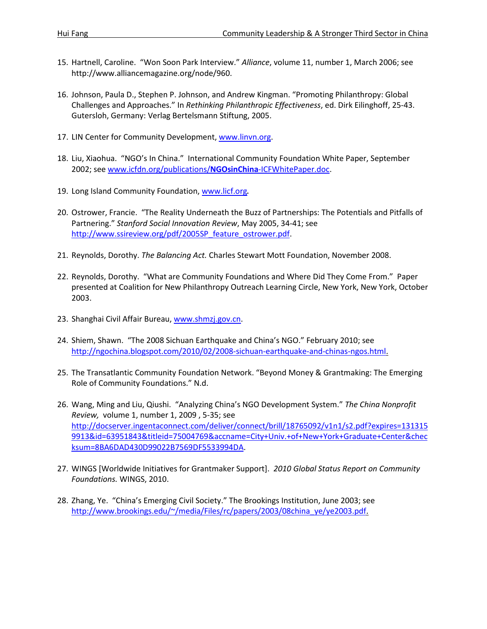- 15. Hartnell, Caroline. "Won Soon Park Interview." *Alliance*, volume 11, number 1, March 2006; see http://www.alliancemagazine.org/node/960.
- 16. Johnson, Paula D., Stephen P. Johnson, and Andrew Kingman. "Promoting Philanthropy: Global Challenges and Approaches." In *Rethinking Philanthropic Effectiveness*, ed. Dirk Eilinghoff, 25-43. Gutersloh, Germany: Verlag Bertelsmann Stiftung, 2005.
- 17. LIN Center for Community Development, [www.linvn.org.](http://www.linvn.org/)
- 18. Liu, Xiaohua. "NGO's In China." International Community Foundation White Paper, September 2002; se[e www.icfdn.org/publications/](http://www.icfdn.org/publications/NGOsinChina-ICFWhitePaper.doc)**NGOsinChina**-ICFWhitePaper.doc.
- 19. Long Island Community Foundation, www.licf.org.
- 20. Ostrower, Francie. "The Reality Underneath the Buzz of Partnerships: The Potentials and Pitfalls of Partnering." *Stanford Social Innovation Review*, May 2005, 34-41; see [http://www.ssireview.org/pdf/2005SP\\_feature\\_ostrower.pdf.](http://www.ssireview.org/pdf/2005SP_feature_ostrower.pdf)
- 21. Reynolds, Dorothy. *The Balancing Act.* Charles Stewart Mott Foundation, November 2008.
- 22. Reynolds, Dorothy. "What are Community Foundations and Where Did They Come From." Paper presented at Coalition for New Philanthropy Outreach Learning Circle, New York, New York, October 2003.
- 23. Shanghai Civil Affair Bureau, www.shmzj.gov.cn.
- 24. Shiem, Shawn. "The 2008 Sichuan Earthquake and China's NGO." February 2010; see [http://ngochina.blogspot.com/2010/02/2008-sichuan-earthquake-and-chinas-ngos.html.](http://ngochina.blogspot.com/2010/02/2008-sichuan-earthquake-and-chinas-ngos.html)
- 25. The Transatlantic Community Foundation Network. "Beyond Money & Grantmaking: The Emerging Role of Community Foundations." N.d.
- 26. Wang, Ming and Liu, Qiushi. "Analyzing China's NGO Development System." *The China Nonprofit Review,* volume 1, number 1, 2009 , 5-35; see [http://docserver.ingentaconnect.com/deliver/connect/brill/18765092/v1n1/s2.pdf?expires=131315](http://docserver.ingentaconnect.com/deliver/connect/brill/18765092/v1n1/s2.pdf?expires=1313159913&id=63951843&titleid=75004769&accname=City+Univ.+of+New+York+Graduate+Center&checksum=8BA6DAD430D99022B7569DF5533994DA) [9913&id=63951843&titleid=75004769&accname=City+Univ.+of+New+York+Graduate+Center&chec](http://docserver.ingentaconnect.com/deliver/connect/brill/18765092/v1n1/s2.pdf?expires=1313159913&id=63951843&titleid=75004769&accname=City+Univ.+of+New+York+Graduate+Center&checksum=8BA6DAD430D99022B7569DF5533994DA) [ksum=8BA6DAD430D99022B7569DF5533994DA.](http://docserver.ingentaconnect.com/deliver/connect/brill/18765092/v1n1/s2.pdf?expires=1313159913&id=63951843&titleid=75004769&accname=City+Univ.+of+New+York+Graduate+Center&checksum=8BA6DAD430D99022B7569DF5533994DA)
- 27. WINGS [Worldwide Initiatives for Grantmaker Support]. *2010 Global Status Report on Community Foundations.* WINGS, 2010.
- 28. Zhang, Ye. "China's Emerging Civil Society." The Brookings Institution, June 2003; see [http://www.brookings.edu/~/media/Files/rc/papers/2003/08china\\_ye/ye2003.pdf.](http://www.brookings.edu/~/media/Files/rc/papers/2003/08china_ye/ye2003.pdf)